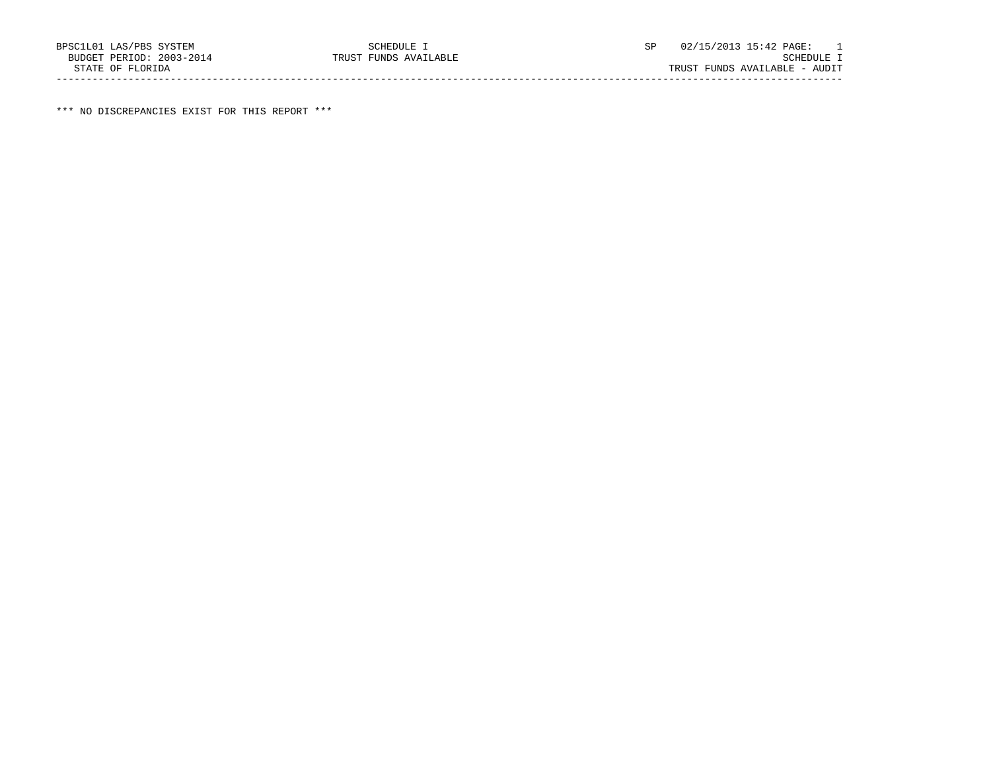\*\*\* NO DISCREPANCIES EXIST FOR THIS REPORT \*\*\*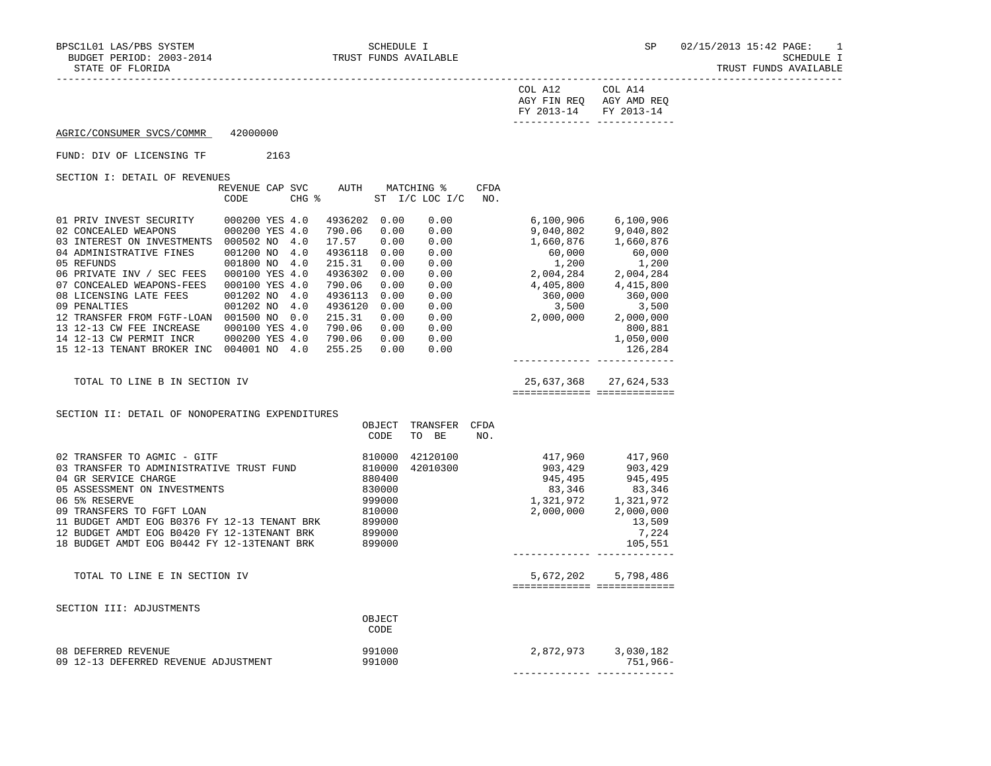| $\cap$ $\cap$ $\Gamma$ .<br>FIN REQ<br>AGY AMD REQ<br>AGY<br>$\sim$<br>FY 2013-14<br>FV 2013-14 |  |
|-------------------------------------------------------------------------------------------------|--|
| ---------- -------------                                                                        |  |

# AGRIC/CONSUMER SVCS/COMMR 42000000

FUND: DIV OF LICENSING TF 2163

|                                                                                                                                                                                                                                                                                                                                                                                                                       | REVENUE CAP SVC AUTH MATCHING %<br>CODE                                                                                                  | $CHG$ $\frac{1}{6}$                                                                                                                                                                                                         | ST I/C LOC I/C                                                                       | CFDA<br>NO. |                                                                                                                                                                                                                                                                                        |                                                     |
|-----------------------------------------------------------------------------------------------------------------------------------------------------------------------------------------------------------------------------------------------------------------------------------------------------------------------------------------------------------------------------------------------------------------------|------------------------------------------------------------------------------------------------------------------------------------------|-----------------------------------------------------------------------------------------------------------------------------------------------------------------------------------------------------------------------------|--------------------------------------------------------------------------------------|-------------|----------------------------------------------------------------------------------------------------------------------------------------------------------------------------------------------------------------------------------------------------------------------------------------|-----------------------------------------------------|
| 01 PRIV INVEST SECURITY 000200 YES 4.0<br>02 CONCEALED WEAPONS<br>03 INTEREST ON INVESTMENTS 000502 NO 4.0<br>04 ADMINISTRATIVE FINES<br>05 REFUNDS<br>06 PRIVATE INV / SEC FEES<br>07 CONCEALED WEAPONS-FEES<br>08 LICENSING LATE FEES<br>09 PENALTIES<br>12 TRANSFER FROM FGTF-LOAN 001500 NO 0.0<br>13 12-13 CW FEE INCREASE<br>14 12-13 CW PERMIT INCR 000200 YES 4.0<br>15 12-13 TENANT BROKER INC 004001 NO 4.0 | 000200 YES 4.0<br>001200 NO 4.0<br>001800 NO 4.0<br>000100 YES 4.0<br>000100 YES 4.0<br>001202 NO 4.0<br>001202 NO 4.0<br>000100 YES 4.0 | 4936202 0.00<br>790.06<br>0.00<br>17.57<br>0.00<br>4936118 0.00<br>215.31<br>0.00<br>4936302 0.00<br>790.06<br>0.00<br>4936113 0.00<br>4936120 0.00<br>215.31<br>0.00<br>790.06<br>0.00<br>790.06<br>0.00<br>255.25<br>0.00 | 0.00<br>0.00<br>0.00<br>0.00<br>0.00<br>0.00<br>0.00<br>0.00<br>0.00<br>0.00<br>0.00 |             | $6,100,906$ $6,100,906$<br>$0.00$ 9,040,802 9,040,802<br>1,660,876 1,660,876<br>60,000 60,000<br>$1,200$<br>2,004,284<br>2,004,284<br>2,004,284<br>$0.00$ $4,405,800$ $4,415,800$<br>$\begin{array}{cccc} 360,000 & & 360,000 \ 3,500 & & 3,500 \ 2,000,000 & & 2,000,000 \end{array}$ | 360,000<br>800,881<br>1,050,000<br>126,284          |
| TOTAL TO LINE B IN SECTION IV                                                                                                                                                                                                                                                                                                                                                                                         |                                                                                                                                          |                                                                                                                                                                                                                             |                                                                                      |             | 25,637,368 27,624,533                                                                                                                                                                                                                                                                  | ============== ==============                       |
| SECTION II: DETAIL OF NONOPERATING EXPENDITURES                                                                                                                                                                                                                                                                                                                                                                       |                                                                                                                                          | OBJECT<br>CODE                                                                                                                                                                                                              | TRANSFER<br>TO BE                                                                    | CFDA<br>NO. |                                                                                                                                                                                                                                                                                        |                                                     |
| 02 TRANSFER TO AGMIC - GITF<br>03 TRANSFER TO ADMINISTRATIVE TRUST FUND 810000<br>04 GR SERVICE CHARGE<br>05 ASSESSMENT ON INVESTMENTS<br>06 5% RESERVE<br>09 TRANSFERS TO FGFT LOAN<br>11 BUDGET AMDT EOG B0376 FY 12-13 TENANT BRK 899000<br>12 BUDGET AMDT EOG B0420 FY 12-13TENANT BRK<br>18 BUDGET AMDT EOG B0442 FY 12-13TENANT BRK 899000                                                                      |                                                                                                                                          | 810000<br>880400<br>830000<br>999000<br>810000<br>899000                                                                                                                                                                    |                                                                                      |             | $\begin{array}{cccc} 42120100 & & & 417,960 & & 417,960 \\ 42010300 & & & 903,429 & & 903,429 \\ & & 945,495 & & 945,495 \\ & & 83,346 & & 83,346 \\ & & 1,321,972 & & 1,321,972 \\ & & 2,000,000 & & 2,000,000 \end{array}$<br>-------------- ------------                            | 13,509<br>7,224<br>105,551                          |
| TOTAL TO LINE E IN SECTION IV                                                                                                                                                                                                                                                                                                                                                                                         |                                                                                                                                          |                                                                                                                                                                                                                             |                                                                                      |             |                                                                                                                                                                                                                                                                                        | 5,672,202 5,798,486<br>============================ |
| SECTION III: ADJUSTMENTS                                                                                                                                                                                                                                                                                                                                                                                              |                                                                                                                                          | OBJECT<br>CODE                                                                                                                                                                                                              |                                                                                      |             |                                                                                                                                                                                                                                                                                        |                                                     |
| 08 DEFERRED REVENUE<br>09 12-13 DEFERRED REVENUE ADJUSTMENT                                                                                                                                                                                                                                                                                                                                                           |                                                                                                                                          | 991000<br>991000                                                                                                                                                                                                            |                                                                                      |             |                                                                                                                                                                                                                                                                                        | 751,966-                                            |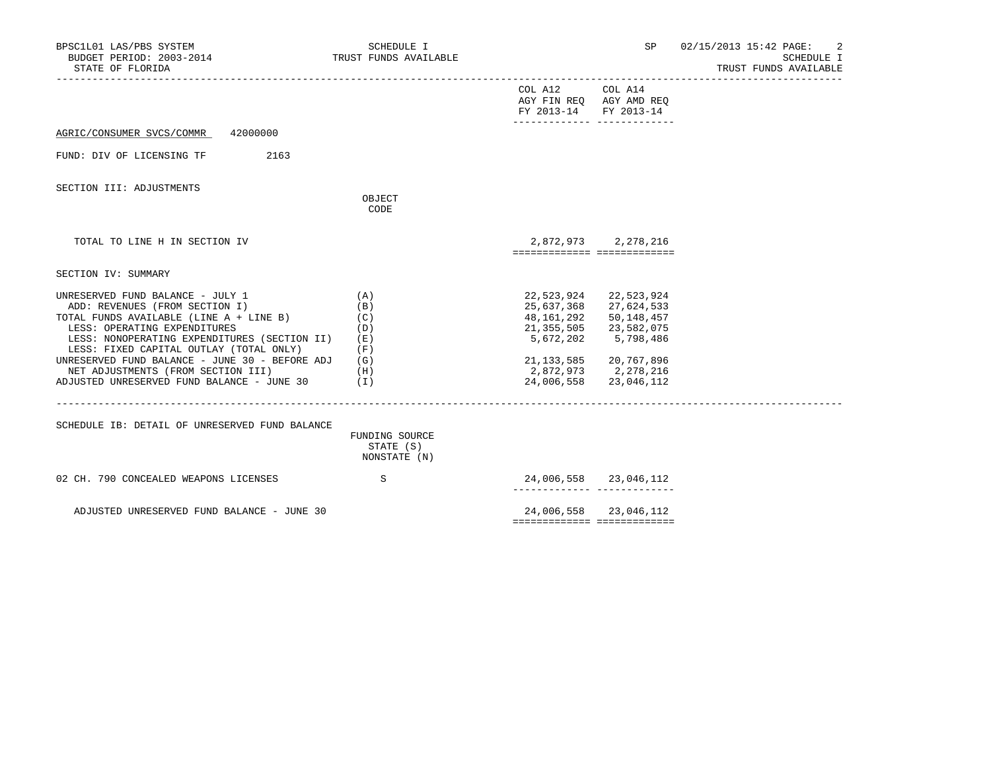| BPSC1L01 LAS/PBS SYSTEM<br>BUDGET PERIOD: 2003-2014<br>STATE OF FLORIDA                                                                                                                                                                                                                                                                                                                     | SCHEDULE I<br>TRUST FUNDS AVAILABLE           |                                          | SP                                                                                                                                                                                 | 02/15/2013 15:42 PAGE:<br>2<br>SCHEDULE I<br>TRUST FUNDS AVAILABLE |
|---------------------------------------------------------------------------------------------------------------------------------------------------------------------------------------------------------------------------------------------------------------------------------------------------------------------------------------------------------------------------------------------|-----------------------------------------------|------------------------------------------|------------------------------------------------------------------------------------------------------------------------------------------------------------------------------------|--------------------------------------------------------------------|
|                                                                                                                                                                                                                                                                                                                                                                                             |                                               | COL A12 COL A14<br>FY 2013-14 FY 2013-14 | AGY FIN REQ AGY AMD REQ<br>_______________________________                                                                                                                         |                                                                    |
| AGRIC/CONSUMER SVCS/COMMR 42000000                                                                                                                                                                                                                                                                                                                                                          |                                               |                                          |                                                                                                                                                                                    |                                                                    |
| FUND: DIV OF LICENSING TF<br>2163                                                                                                                                                                                                                                                                                                                                                           |                                               |                                          |                                                                                                                                                                                    |                                                                    |
| SECTION III: ADJUSTMENTS                                                                                                                                                                                                                                                                                                                                                                    | OBJECT<br>CODE                                |                                          |                                                                                                                                                                                    |                                                                    |
| TOTAL TO LINE H IN SECTION IV                                                                                                                                                                                                                                                                                                                                                               |                                               | ============================             | 2,872,973 2,278,216                                                                                                                                                                |                                                                    |
| SECTION IV: SUMMARY                                                                                                                                                                                                                                                                                                                                                                         |                                               |                                          |                                                                                                                                                                                    |                                                                    |
| UNRESERVED FUND BALANCE - JULY 1<br>ADD: REVENUES (FROM SECTION I)<br>TOTAL FUNDS AVAILABLE (LINE A + LINE B)<br>LESS: OPERATING EXPENDITURES<br>LESS: NONOPERATING EXPENDITURES (SECTION II)<br>LESS: FIXED CAPITAL OUTLAY (TOTAL ONLY)<br>UNRESERVED FUND BALANCE - JUNE 30 - BEFORE ADJ<br>NET ADJUSTMENTS (FROM SECTION III)<br>(H)<br>ADJUSTED UNRESERVED FUND BALANCE - JUNE 30 $(1)$ | (A)<br>(B)<br>(C)<br>(D)<br>(E)<br>(F)<br>(G) | 22,523,924<br>48,161,292                 | 22,523,924<br>25,637,368 27,624,533<br>50,148,457<br>21, 355, 505 23, 582, 075<br>5,672,202 5,798,486<br>21, 133, 585 20, 767, 896<br>2,872,973 2,278,216<br>24,006,558 23,046,112 |                                                                    |
| SCHEDULE IB: DETAIL OF UNRESERVED FUND BALANCE                                                                                                                                                                                                                                                                                                                                              | FUNDING SOURCE<br>STATE (S)<br>NONSTATE (N)   |                                          |                                                                                                                                                                                    |                                                                    |
| 02 CH. 790 CONCEALED WEAPONS LICENSES                                                                                                                                                                                                                                                                                                                                                       | S                                             |                                          | 24,006,558 23,046,112                                                                                                                                                              |                                                                    |
| ADJUSTED UNRESERVED FUND BALANCE - JUNE 30                                                                                                                                                                                                                                                                                                                                                  |                                               |                                          | 24,006,558 23,046,112                                                                                                                                                              |                                                                    |

============= =============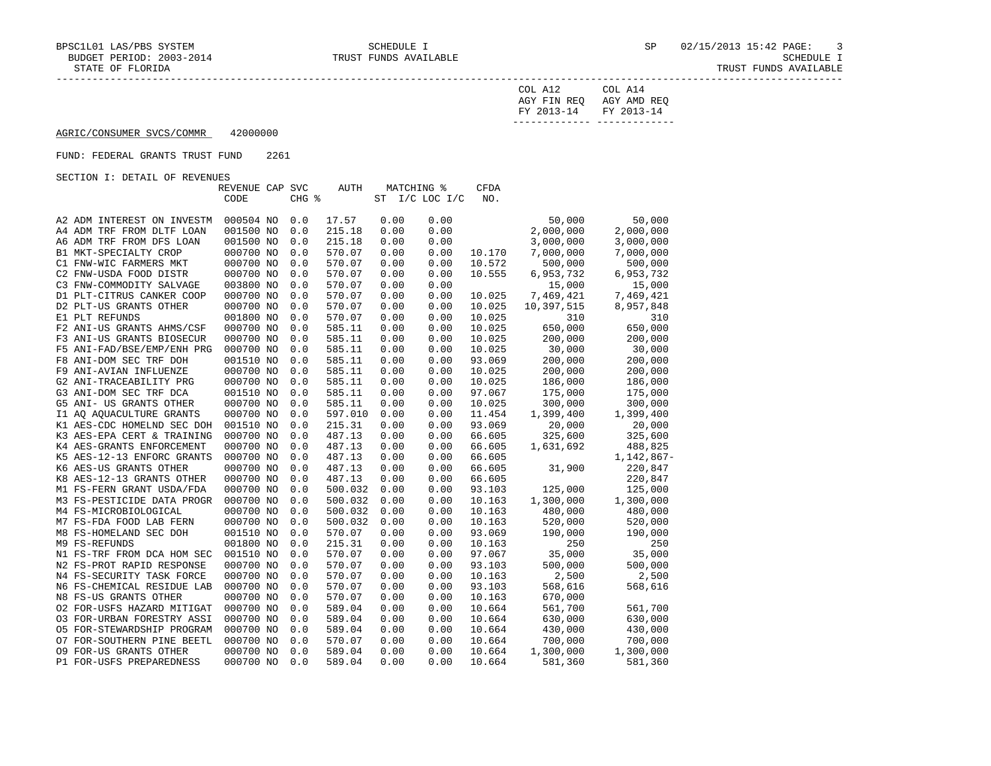| COL A12                              | COL A14     |
|--------------------------------------|-------------|
| AGY FIN REQ<br>FY 2013-14 FY 2013-14 | AGY AMD REO |
|                                      |             |

# AGRIC/CONSUMER SVCS/COMMR 42000000

### FUND: FEDERAL GRANTS TRUST FUND 2261

|                            | REVENUE CAP SVC |       | AUTH    | MATCHING %<br>CFDA |                |        |            |              |  |  |
|----------------------------|-----------------|-------|---------|--------------------|----------------|--------|------------|--------------|--|--|
|                            | CODE            | CHG % |         |                    | ST I/C LOC I/C | NO.    |            |              |  |  |
|                            |                 |       |         |                    |                |        |            |              |  |  |
| A2 ADM INTEREST ON INVESTM | 000504 NO       | 0.0   | 17.57   | 0.00               | 0.00           |        | 50,000     | 50,000       |  |  |
| A4 ADM TRF FROM DLTF LOAN  | 001500 NO       | 0.0   | 215.18  | 0.00               | 0.00           |        | 2,000,000  | 2,000,000    |  |  |
| A6 ADM TRF FROM DFS LOAN   | 001500 NO       | 0.0   | 215.18  | 0.00               | 0.00           |        | 3,000,000  | 3,000,000    |  |  |
| B1 MKT-SPECIALTY CROP      | 000700 NO       | 0.0   | 570.07  | 0.00               | 0.00           | 10.170 | 7,000,000  | 7,000,000    |  |  |
| C1 FNW-WIC FARMERS MKT     | 000700 NO       | 0.0   | 570.07  | 0.00               | 0.00           | 10.572 | 500,000    | 500,000      |  |  |
| C2 FNW-USDA FOOD DISTR     | 000700 NO       | 0.0   | 570.07  | 0.00               | 0.00           | 10.555 | 6,953,732  | 6,953,732    |  |  |
| C3 FNW-COMMODITY SALVAGE   | 003800 NO       | 0.0   | 570.07  | 0.00               | 0.00           |        | 15,000     | 15,000       |  |  |
| D1 PLT-CITRUS CANKER COOP  | 000700 NO       | 0.0   | 570.07  | 0.00               | 0.00           | 10.025 | 7,469,421  | 7,469,421    |  |  |
| D2 PLT-US GRANTS OTHER     | 000700 NO       | 0.0   | 570.07  | 0.00               | 0.00           | 10.025 | 10,397,515 | 8,957,848    |  |  |
| E1 PLT REFUNDS             | 001800 NO       | 0.0   | 570.07  | 0.00               | 0.00           | 10.025 | 310        | 310          |  |  |
| F2 ANI-US GRANTS AHMS/CSF  | 000700 NO       | 0.0   | 585.11  | 0.00               | 0.00           | 10.025 | 650,000    | 650,000      |  |  |
| F3 ANI-US GRANTS BIOSECUR  | 000700 NO       | 0.0   | 585.11  | 0.00               | 0.00           | 10.025 | 200,000    | 200,000      |  |  |
| F5 ANI-FAD/BSE/EMP/ENH PRG | 000700 NO       | 0.0   | 585.11  | 0.00               | 0.00           | 10.025 | 30,000     | 30,000       |  |  |
| F8 ANI-DOM SEC TRF DOH     | 001510 NO       | 0.0   | 585.11  | 0.00               | 0.00           | 93.069 | 200,000    | 200,000      |  |  |
| F9 ANI-AVIAN INFLUENZE     | 000700 NO       | 0.0   | 585.11  | 0.00               | 0.00           | 10.025 | 200,000    | 200,000      |  |  |
| G2 ANI-TRACEABILITY PRG    | 000700 NO       | 0.0   | 585.11  | 0.00               | 0.00           | 10.025 | 186,000    | 186,000      |  |  |
| G3 ANI-DOM SEC TRF DCA     | 001510 NO       | 0.0   | 585.11  | 0.00               | 0.00           | 97.067 | 175,000    | 175,000      |  |  |
| G5 ANI- US GRANTS OTHER    | 000700 NO       | 0.0   | 585.11  | 0.00               | 0.00           | 10.025 | 300,000    | 300,000      |  |  |
| I1 AO AOUACULTURE GRANTS   | 000700 NO       | 0.0   | 597.010 | 0.00               | 0.00           | 11.454 | 1,399,400  | 1,399,400    |  |  |
| K1 AES-CDC HOMELND SEC DOH | 001510 NO       | 0.0   | 215.31  | 0.00               | 0.00           | 93.069 | 20,000     | 20,000       |  |  |
| K3 AES-EPA CERT & TRAINING | 000700 NO       | 0.0   | 487.13  | 0.00               | 0.00           | 66.605 | 325,600    | 325,600      |  |  |
| K4 AES-GRANTS ENFORCEMENT  | 000700 NO       | 0.0   | 487.13  | 0.00               | 0.00           | 66.605 | 1,631,692  | 488,825      |  |  |
| K5 AES-12-13 ENFORC GRANTS | 000700 NO       | 0.0   | 487.13  | 0.00               | 0.00           | 66.605 |            | $1,142,867-$ |  |  |
| K6 AES-US GRANTS OTHER     | 000700 NO       | 0.0   | 487.13  | 0.00               | 0.00           | 66.605 | 31,900     | 220,847      |  |  |
| K8 AES-12-13 GRANTS OTHER  | 000700 NO       | 0.0   | 487.13  | 0.00               | 0.00           | 66.605 |            | 220,847      |  |  |
| M1 FS-FERN GRANT USDA/FDA  | 000700 NO       | 0.0   | 500.032 | 0.00               | 0.00           | 93.103 | 125,000    | 125,000      |  |  |
| M3 FS-PESTICIDE DATA PROGR | 000700 NO       | 0.0   | 500.032 | 0.00               | 0.00           | 10.163 | 1,300,000  | 1,300,000    |  |  |
| M4 FS-MICROBIOLOGICAL      | 000700 NO       | 0.0   | 500.032 | 0.00               | 0.00           | 10.163 | 480,000    | 480,000      |  |  |
| M7 FS-FDA FOOD LAB FERN    | 000700 NO       | 0.0   | 500.032 | 0.00               | 0.00           | 10.163 | 520,000    | 520,000      |  |  |
| M8 FS-HOMELAND SEC DOH     | 001510 NO       | 0.0   | 570.07  | 0.00               | 0.00           | 93.069 | 190,000    | 190,000      |  |  |
| M9 FS-REFUNDS              | 001800 NO       | 0.0   | 215.31  | 0.00               | 0.00           | 10.163 | 250        | 250          |  |  |
| N1 FS-TRF FROM DCA HOM SEC | 001510 NO       | 0.0   | 570.07  | 0.00               | 0.00           | 97.067 | 35,000     | 35,000       |  |  |
| N2 FS-PROT RAPID RESPONSE  | 000700 NO       | 0.0   | 570.07  | 0.00               | 0.00           | 93.103 | 500,000    | 500,000      |  |  |
| N4 FS-SECURITY TASK FORCE  | 000700 NO       | 0.0   | 570.07  | 0.00               | 0.00           | 10.163 | 2,500      | 2,500        |  |  |
| N6 FS-CHEMICAL RESIDUE LAB | 000700 NO       | 0.0   | 570.07  | 0.00               | 0.00           | 93.103 | 568,616    | 568,616      |  |  |
| N8 FS-US GRANTS OTHER      | 000700 NO       | 0.0   | 570.07  | 0.00               | 0.00           | 10.163 | 670,000    |              |  |  |
| 02 FOR-USFS HAZARD MITIGAT | 000700 NO       | 0.0   | 589.04  | 0.00               | 0.00           | 10.664 | 561,700    | 561,700      |  |  |
| 03 FOR-URBAN FORESTRY ASSI | 000700 NO       | 0.0   | 589.04  | 0.00               | 0.00           | 10.664 | 630,000    | 630,000      |  |  |
| 05 FOR-STEWARDSHIP PROGRAM | 000700 NO       | 0.0   | 589.04  | 0.00               | 0.00           | 10.664 | 430,000    | 430,000      |  |  |
| 07 FOR-SOUTHERN PINE BEETL | 000700 NO       | 0.0   | 570.07  | 0.00               | 0.00           | 10.664 | 700,000    | 700,000      |  |  |
| 09 FOR-US GRANTS OTHER     | 000700 NO       | 0.0   | 589.04  | 0.00               | 0.00           | 10.664 | 1,300,000  | 1,300,000    |  |  |
| P1 FOR-USFS PREPAREDNESS   | 000700 NO       | 0.0   | 589.04  | 0.00               | 0.00           | 10.664 | 581,360    | 581,360      |  |  |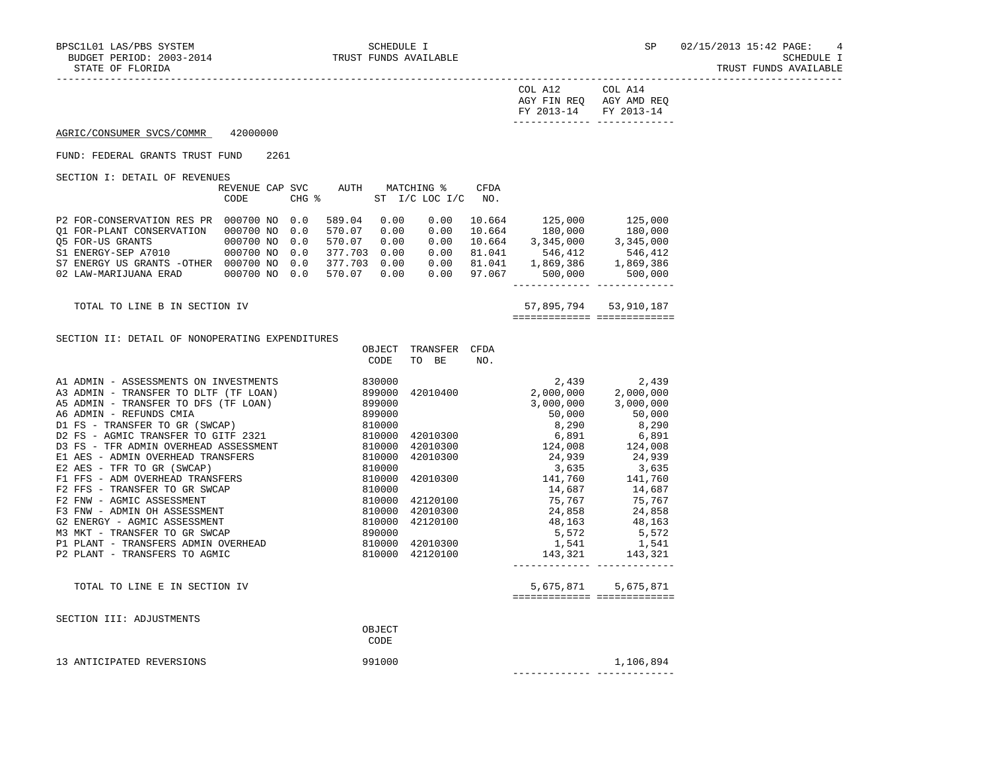| COL A12               | COL A14     |
|-----------------------|-------------|
| AGY FIN REO           | AGY AMD REO |
| FY 2013-14 FY 2013-14 |             |
| __________            |             |

# AGRIC/CONSUMER SVCS/COMMR 42000000

### FUND: FEDERAL GRANTS TRUST FUND 2261

SECTION I: DETAIL OF REVENUES

| REVENUE CAP                | CODE      | SVC.<br>CHG % | AUTH    | MATCHING %<br>ST | $I/C$ LOC $I/C$ | CFDA<br>NO. |           |           |
|----------------------------|-----------|---------------|---------|------------------|-----------------|-------------|-----------|-----------|
| P2 FOR-CONSERVATION RES PR | 000700 NO | 0.0           | 589.04  | 0.00             | 0.00            | 10.664      | 125,000   | 125,000   |
| 01 FOR-PLANT CONSERVATION  | 000700 NO | 0.0           | 570.07  | 0.00             | 0.00            | 10.664      | 180,000   | 180,000   |
| 05 FOR-US GRANTS           | 000700 NO | 0.0           | 570.07  | 0.00             | 0.00            | 10.664      | 3,345,000 | 3,345,000 |
| S1 ENERGY-SEP A7010        | 000700 NO | 0.0           | 377.703 | 0.00             | 0.00            | 81.041      | 546,412   | 546,412   |
| S7 ENERGY US GRANTS -OTHER | 000700 NO | 0.0           | 377.703 | 0.00             | 0.00            | 81.041      | 1,869,386 | 1,869,386 |
| 02 LAW-MARIJUANA ERAD      | 000700 NO | 0.0           | 570.07  | 0.00             | 0.00            | 97.067      | 500,000   | 500,000   |

 TOTAL TO LINE B IN SECTION IV 57,895,794 53,910,187 ============= =============

### SECTION II: DETAIL OF NONOPERATING EXPENDITURES

| DECITOM II: DEIAIU OF NOMOFEMAIING EAFEMPIIONED |        |          |      |           |           |
|-------------------------------------------------|--------|----------|------|-----------|-----------|
|                                                 | OBJECT | TRANSFER | CFDA |           |           |
|                                                 | CODE   | TO BE    | NO.  |           |           |
|                                                 |        |          |      |           |           |
| A1 ADMIN - ASSESSMENTS ON INVESTMENTS           | 830000 |          |      | 2,439     | 2,439     |
| A3 ADMIN - TRANSFER TO DLTF (TF LOAN)           | 899000 | 42010400 |      | 2,000,000 | 2,000,000 |
| A5 ADMIN - TRANSFER TO DFS (TF LOAN)            | 899000 |          |      | 3,000,000 | 3,000,000 |
| A6 ADMIN - REFUNDS CMIA                         | 899000 |          |      | 50,000    | 50,000    |
| D1 FS - TRANSFER TO GR (SWCAP)                  | 810000 |          |      | 8,290     | 8,290     |
| D2 FS - AGMIC TRANSFER TO GITF 2321             | 810000 | 42010300 |      | 6,891     | 6,891     |
| D3 FS - TFR ADMIN OVERHEAD ASSESSMENT           | 810000 | 42010300 |      | 124,008   | 124,008   |
| E1 AES - ADMIN OVERHEAD TRANSFERS               | 810000 | 42010300 |      | 24,939    | 24,939    |
| E2 AES - TFR TO GR (SWCAP)                      | 810000 |          |      | 3,635     | 3,635     |
| F1 FFS - ADM OVERHEAD TRANSFERS                 | 810000 | 42010300 |      | 141,760   | 141,760   |
| F2 FFS - TRANSFER TO GR SWCAP                   | 810000 |          |      | 14,687    | 14,687    |
| F2 FNW - AGMIC ASSESSMENT                       | 810000 | 42120100 |      | 75,767    | 75,767    |
| F3 FNW - ADMIN OH ASSESSMENT                    | 810000 | 42010300 |      | 24,858    | 24,858    |
| G2 ENERGY - AGMIC ASSESSMENT                    | 810000 | 42120100 |      | 48,163    | 48,163    |
| M3 MKT - TRANSFER TO GR SWCAP                   | 890000 |          |      | 5,572     | 5,572     |
| P1 PLANT - TRANSFERS ADMIN OVERHEAD             | 810000 | 42010300 |      | 1,541     | 1,541     |
| P2 PLANT - TRANSFERS TO AGMIC                   | 810000 | 42120100 |      | 143,321   | 143,321   |
|                                                 |        |          |      |           |           |

TOTAL TO LINE E IN SECTION IV  $5,675,871$   $5,675,871$ ============= =============

|  |  | SECTION III: ADJUSTMENTS |
|--|--|--------------------------|
|--|--|--------------------------|

|                           | OBJECT<br>CODE |           |
|---------------------------|----------------|-----------|
| 13 ANTICIPATED REVERSIONS | 991000         | 1,106,894 |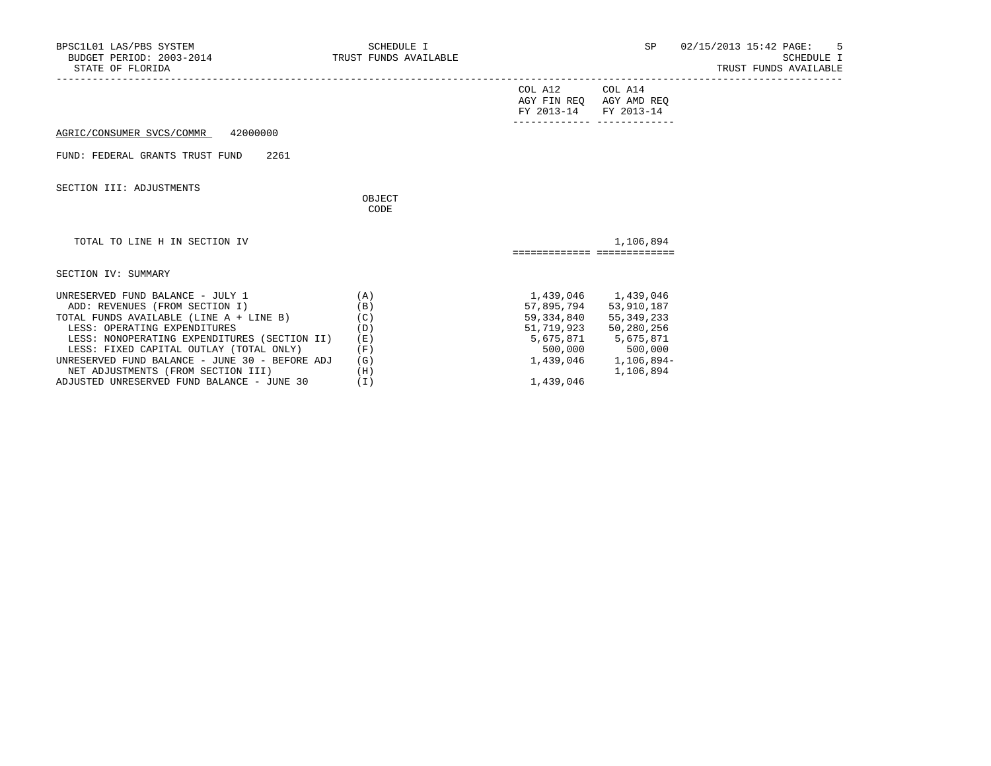| BPSC1L01 LAS/PBS SYSTEM<br>BUDGET PERIOD: 2003-2014<br>STATE OF FLORIDA | <b>SCHEDULE I</b><br>TRUST FUNDS AVAILABLE |                       | SP                                               | 02/15/2013 15:42 PAGE:<br>-5<br>SCHEDULE I<br>TRUST FUNDS AVAILABLE |
|-------------------------------------------------------------------------|--------------------------------------------|-----------------------|--------------------------------------------------|---------------------------------------------------------------------|
|                                                                         |                                            | COL A12<br>FY 2013-14 | COL A14<br>AGY FIN REQ AGY AMD REQ<br>FY 2013-14 |                                                                     |
| 42000000<br>AGRIC/CONSUMER SVCS/COMMR                                   |                                            |                       |                                                  |                                                                     |
| FUND: FEDERAL GRANTS TRUST FUND<br>2261                                 |                                            |                       |                                                  |                                                                     |
| SECTION III: ADJUSTMENTS                                                |                                            |                       |                                                  |                                                                     |
|                                                                         | OBJECT<br>CODE                             |                       |                                                  |                                                                     |
| TOTAL TO LINE H IN SECTION IV                                           |                                            |                       | 1,106,894<br>============================        |                                                                     |
| SECTION IV: SUMMARY                                                     |                                            |                       |                                                  |                                                                     |
| UNRESERVED FUND BALANCE - JULY 1<br>ADD: REVENUES (FROM SECTION I)      | (A)<br>(B)                                 | 57,895,794            | 1,439,046 1,439,046<br>53,910,187                |                                                                     |
| TOTAL FUNDS AVAILABLE (LINE A + LINE B)                                 | (C)                                        | 59,334,840            | 55,349,233                                       |                                                                     |
| LESS: OPERATING EXPENDITURES                                            | (D)                                        | 51,719,923            | 50,280,256                                       |                                                                     |
| LESS: NONOPERATING EXPENDITURES (SECTION II)                            | (E)                                        |                       | 5,675,871 5,675,871                              |                                                                     |
| LESS: FIXED CAPITAL OUTLAY (TOTAL ONLY)                                 | (F)                                        |                       | 500,000 500,000                                  |                                                                     |
| UNRESERVED FUND BALANCE - JUNE 30 - BEFORE ADJ                          | (G)                                        | 1,439,046             | 1,106,894-                                       |                                                                     |

NET ADJUSTMENTS (FROM SECTION III) (H) 1,106,894

ADJUSTED UNRESERVED FUND BALANCE - JUNE 30 (I) (I) 1,439,046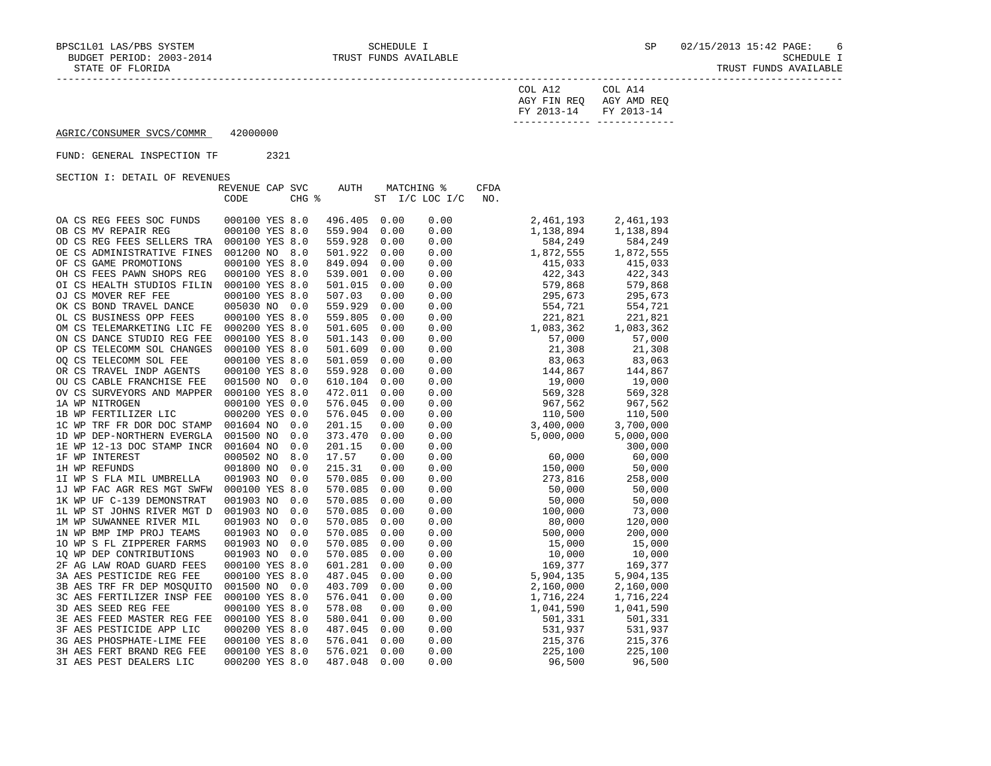| F LURI <i>D</i> A | 1. GUD 1 | : פעמוס | AVAILABLE |
|-------------------|----------|---------|-----------|
|                   |          |         |           |
|                   |          |         |           |

| COL A12                 | COL A14     |
|-------------------------|-------------|
| AGY FIN REO             | AGY AMD REO |
| FY 2013-14 FY 2013-14   |             |
| . _ _ _ _ _ _ _ _ _ _ _ |             |

# AGRIC/CONSUMER SVCS/COMMR 42000000

## FUND: GENERAL INSPECTION TF 2321

|                            | REVENUE CAP SVC |       | AUTH    |      | MATCHING %     | <b>CFDA</b> |           |           |
|----------------------------|-----------------|-------|---------|------|----------------|-------------|-----------|-----------|
|                            | CODE            | CHG % |         |      | ST I/C LOC I/C | NO.         |           |           |
|                            |                 |       |         |      |                |             |           |           |
| OA CS REG FEES SOC FUNDS   | 000100 YES 8.0  |       | 496.405 | 0.00 | 0.00           |             | 2,461,193 | 2,461,193 |
| OB CS MV REPAIR REG        | 000100 YES 8.0  |       | 559.904 | 0.00 | 0.00           |             | 1,138,894 | 1,138,894 |
| OD CS REG FEES SELLERS TRA | 000100 YES 8.0  |       | 559.928 | 0.00 | 0.00           |             | 584,249   | 584,249   |
| OE CS ADMINISTRATIVE FINES | 001200 NO 8.0   |       | 501.922 | 0.00 | 0.00           |             | 1,872,555 | 1,872,555 |
| OF CS GAME PROMOTIONS      | 000100 YES 8.0  |       | 849.094 | 0.00 | 0.00           |             | 415,033   | 415,033   |
| OH CS FEES PAWN SHOPS REG  | 000100 YES 8.0  |       | 539.001 | 0.00 | 0.00           |             | 422,343   | 422,343   |
| OI CS HEALTH STUDIOS FILIN | 000100 YES 8.0  |       | 501.015 | 0.00 | 0.00           |             | 579,868   | 579,868   |
| OJ CS MOVER REF FEE        | 000100 YES 8.0  |       | 507.03  | 0.00 | 0.00           |             | 295,673   | 295,673   |
| OK CS BOND TRAVEL DANCE    | 005030 NO       | 0.0   | 559.929 | 0.00 | 0.00           |             | 554,721   | 554,721   |
| OL CS BUSINESS OPP FEES    | 000100 YES 8.0  |       | 559.805 | 0.00 | 0.00           |             | 221,821   | 221,821   |
| OM CS TELEMARKETING LIC FE | 000200 YES 8.0  |       | 501.605 | 0.00 | 0.00           |             | 1,083,362 | 1,083,362 |
| ON CS DANCE STUDIO REG FEE | 000100 YES 8.0  |       | 501.143 | 0.00 | 0.00           |             | 57,000    | 57,000    |
| OP CS TELECOMM SOL CHANGES | 000100 YES 8.0  |       | 501.609 | 0.00 | 0.00           |             | 21,308    | 21,308    |
| OO CS TELECOMM SOL FEE     | 000100 YES 8.0  |       | 501.059 | 0.00 | 0.00           |             | 83,063    | 83,063    |
| OR CS TRAVEL INDP AGENTS   | 000100 YES 8.0  |       | 559.928 | 0.00 | 0.00           |             | 144,867   | 144,867   |
| OU CS CABLE FRANCHISE FEE  | 001500 NO 0.0   |       | 610.104 | 0.00 | 0.00           |             | 19,000    | 19,000    |
| OV CS SURVEYORS AND MAPPER | 000100 YES 8.0  |       | 472.011 | 0.00 | 0.00           |             | 569,328   | 569,328   |
| 1A WP NITROGEN             | 000100 YES 0.0  |       | 576.045 | 0.00 | 0.00           |             | 967,562   | 967,562   |
| 1B WP FERTILIZER LIC       | 000200 YES 0.0  |       | 576.045 | 0.00 | 0.00           |             | 110,500   | 110,500   |
| 1C WP TRF FR DOR DOC STAMP | 001604 NO       | 0.0   | 201.15  | 0.00 | 0.00           |             | 3,400,000 | 3,700,000 |
| 1D WP DEP-NORTHERN EVERGLA | 001500 NO       | 0.0   | 373.470 | 0.00 | 0.00           |             | 5,000,000 | 5,000,000 |
| 1E WP 12-13 DOC STAMP INCR | 001604 NO       | 0.0   | 201.15  | 0.00 | 0.00           |             |           | 300,000   |
| 1F WP INTEREST             | 000502 NO       | 8.0   | 17.57   | 0.00 | 0.00           |             | 60,000    | 60,000    |
| 1H WP REFUNDS              | 001800 NO       | 0.0   | 215.31  | 0.00 | 0.00           |             | 150,000   | 50,000    |
| 1I WP S FLA MIL UMBRELLA   | 001903 NO       | 0.0   | 570.085 | 0.00 | 0.00           |             | 273,816   | 258,000   |
| 1J WP FAC AGR RES MGT SWFW | 000100 YES 8.0  |       | 570.085 | 0.00 | 0.00           |             | 50,000    | 50,000    |
| 1K WP UF C-139 DEMONSTRAT  | 001903 NO       | 0.0   | 570.085 | 0.00 | 0.00           |             | 50,000    | 50,000    |
| 1L WP ST JOHNS RIVER MGT D | 001903 NO       | 0.0   | 570.085 | 0.00 | 0.00           |             | 100,000   | 73,000    |
| 1M WP SUWANNEE RIVER MIL   | 001903 NO       | 0.0   | 570.085 | 0.00 | 0.00           |             | 80,000    | 120,000   |
| 1N WP BMP IMP PROJ TEAMS   | 001903 NO       | 0.0   | 570.085 | 0.00 | 0.00           |             | 500,000   | 200,000   |
| 10 WP S FL ZIPPERER FARMS  | 001903 NO       | 0.0   | 570.085 | 0.00 | 0.00           |             | 15,000    | 15,000    |
| 10 WP DEP CONTRIBUTIONS    | 001903 NO       | 0.0   | 570.085 | 0.00 | 0.00           |             | 10,000    | 10,000    |
| 2F AG LAW ROAD GUARD FEES  | 000100 YES 8.0  |       | 601.281 | 0.00 | 0.00           |             | 169,377   | 169,377   |
| 3A AES PESTICIDE REG FEE   | 000100 YES 8.0  |       | 487.045 | 0.00 | 0.00           |             | 5,904,135 | 5,904,135 |
| 3B AES TRF FR DEP MOSOUITO | 001500 NO       | 0.0   | 403.709 | 0.00 | 0.00           |             | 2,160,000 | 2,160,000 |
| 3C AES FERTILIZER INSP FEE | 000100 YES 8.0  |       | 576.041 | 0.00 | 0.00           |             | 1,716,224 | 1,716,224 |
| 3D AES SEED REG FEE        | 000100 YES 8.0  |       | 578.08  | 0.00 | 0.00           |             | 1,041,590 | 1,041,590 |
| 3E AES FEED MASTER REG FEE | 000100 YES 8.0  |       | 580.041 | 0.00 | 0.00           |             | 501,331   | 501,331   |
| 3F AES PESTICIDE APP LIC   | 000200 YES 8.0  |       | 487.045 | 0.00 | 0.00           |             | 531,937   | 531,937   |
| 3G AES PHOSPHATE-LIME FEE  | 000100 YES 8.0  |       | 576.041 | 0.00 | 0.00           |             | 215,376   | 215,376   |
| 3H AES FERT BRAND REG FEE  | 000100 YES 8.0  |       | 576.021 | 0.00 | 0.00           |             | 225,100   | 225,100   |
| 3I AES PEST DEALERS LIC    | 000200 YES 8.0  |       | 487.048 | 0.00 | 0.00           |             | 96,500    | 96,500    |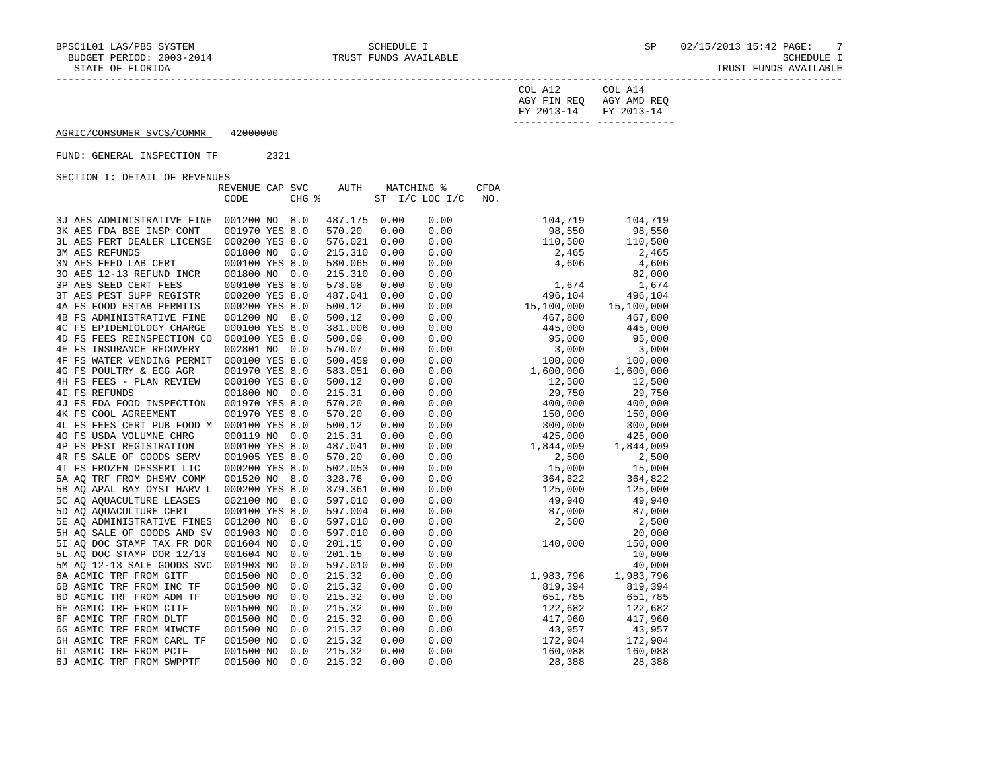| COL A12                 | COL A14     |
|-------------------------|-------------|
| AGY FIN REO             | AGY AMD REO |
| FY 2013-14 FY 2013-14   |             |
| . _ _ _ _ _ _ _ _ _ _ _ |             |

# AGRIC/CONSUMER SVCS/COMMR 42000000

## FUND: GENERAL INSPECTION TF 2321

| PEILLE OI KOVOIVOID        | REVENUE CAP SVC |       | AUTH    | MATCHING % |                 | CFDA       |           |            |
|----------------------------|-----------------|-------|---------|------------|-----------------|------------|-----------|------------|
|                            | CODE            | CHG % |         | <b>ST</b>  | $I/C$ LOC $I/C$ | NO.        |           |            |
|                            |                 |       |         |            |                 |            |           |            |
| 3J AES ADMINISTRATIVE FINE | 001200 NO       | 8.0   | 487.175 | 0.00       | 0.00            |            | 104,719   | 104,719    |
| 3K AES FDA BSE INSP CONT   | 001970 YES 8.0  |       | 570.20  | 0.00       | 0.00            |            | 98,550    | 98,550     |
| 3L AES FERT DEALER LICENSE | 000200 YES 8.0  |       | 576.021 | 0.00       | 0.00            |            | 110,500   | 110,500    |
| <b>3M AES REFUNDS</b>      | 001800 NO       | 0.0   | 215.310 | 0.00       | 0.00            |            | 2,465     | 2,465      |
| 3N AES FEED LAB CERT       | 000100 YES 8.0  |       | 580.065 | 0.00       | 0.00            |            | 4,606     | 4,606      |
| 30 AES 12-13 REFUND INCR   | 001800 NO 0.0   |       | 215.310 | 0.00       | 0.00            |            |           | 82,000     |
| 3P AES SEED CERT FEES      | 000100 YES 8.0  |       | 578.08  | 0.00       | 0.00            |            | 1,674     | 1,674      |
| 3T AES PEST SUPP REGISTR   | 000200 YES 8.0  |       | 487.041 | 0.00       | 0.00            |            | 496,104   | 496,104    |
| 4A FS FOOD ESTAB PERMITS   | 000200 YES 8.0  |       | 500.12  | 0.00       | 0.00            | 15,100,000 |           | 15,100,000 |
| 4B FS ADMINISTRATIVE FINE  | 001200 NO       | 8.0   | 500.12  | 0.00       | 0.00            |            | 467,800   | 467,800    |
| 4C FS EPIDEMIOLOGY CHARGE  | 000100 YES 8.0  |       | 381.006 | 0.00       | 0.00            |            | 445,000   | 445,000    |
| 4D FS FEES REINSPECTION CO | 000100 YES 8.0  |       | 500.09  | 0.00       | 0.00            |            | 95,000    | 95,000     |
| 4E FS INSURANCE RECOVERY   | 002801 NO       | 0.0   | 570.07  | 0.00       | 0.00            |            | 3,000     | 3,000      |
| 4F FS WATER VENDING PERMIT | 000100 YES 8.0  |       | 500.459 | 0.00       | 0.00            |            | 100,000   | 100,000    |
| 4G FS POULTRY & EGG AGR    | 001970 YES 8.0  |       | 583.051 | 0.00       | 0.00            | 1,600,000  |           | 1,600,000  |
| 4H FS FEES - PLAN REVIEW   | 000100 YES 8.0  |       | 500.12  | 0.00       | 0.00            |            | 12,500    | 12,500     |
| 4I FS REFUNDS              | 001800 NO       | 0.0   | 215.31  | 0.00       | 0.00            |            | 29,750    | 29,750     |
| 4J FS FDA FOOD INSPECTION  | 001970 YES 8.0  |       | 570.20  | 0.00       | 0.00            |            | 400,000   | 400,000    |
| 4K FS COOL AGREEMENT       | 001970 YES 8.0  |       | 570.20  | 0.00       | 0.00            |            | 150,000   | 150,000    |
| 4L FS FEES CERT PUB FOOD M | 000100 YES 8.0  |       | 500.12  | 0.00       | 0.00            |            | 300,000   | 300,000    |
| 40 FS USDA VOLUMNE CHRG    | 000119 NO       | 0.0   | 215.31  | 0.00       | 0.00            |            | 425,000   | 425,000    |
| 4P FS PEST REGISTRATION    | 000100 YES 8.0  |       | 487.041 | 0.00       | 0.00            |            | 1,844,009 | 1,844,009  |
| 4R FS SALE OF GOODS SERV   | 001905 YES 8.0  |       | 570.20  | 0.00       | 0.00            |            | 2,500     | 2,500      |
| 4T FS FROZEN DESSERT LIC   | 000200 YES 8.0  |       | 502.053 | 0.00       | 0.00            |            | 15,000    | 15,000     |
| 5A AQ TRF FROM DHSMV COMM  | 001520 NO       | 8.0   | 328.76  | 0.00       | 0.00            |            | 364,822   | 364,822    |
| 5B AO APAL BAY OYST HARV L | 000200 YES 8.0  |       | 379.361 | 0.00       | 0.00            |            | 125,000   | 125,000    |
| 5C AQ AQUACULTURE LEASES   | 002100 NO       | 8.0   | 597.010 | 0.00       | 0.00            |            | 49,940    | 49,940     |
| 5D AO AOUACULTURE CERT     | 000100 YES 8.0  |       | 597.004 | 0.00       | 0.00            |            | 87,000    | 87,000     |
| 5E AQ ADMINISTRATIVE FINES | 001200 NO       | 8.0   | 597.010 | 0.00       | 0.00            |            | 2,500     | 2,500      |
| 5H AO SALE OF GOODS AND SV | 001903 NO       | 0.0   | 597.010 | 0.00       | 0.00            |            |           | 20,000     |
| 5I AQ DOC STAMP TAX FR DOR | 001604 NO       | 0.0   | 201.15  | 0.00       | 0.00            |            | 140,000   | 150,000    |
| 5L AO DOC STAMP DOR 12/13  | 001604 NO       | 0.0   | 201.15  | 0.00       | 0.00            |            |           | 10,000     |
| 5M AQ 12-13 SALE GOODS SVC | 001903 NO       | 0.0   | 597.010 | 0.00       | 0.00            |            |           | 40,000     |
| 6A AGMIC TRF FROM GITF     | 001500 NO       | 0.0   | 215.32  | 0.00       | 0.00            | 1,983,796  |           | 1,983,796  |
| 6B AGMIC TRF FROM INC TF   | 001500 NO       | 0.0   | 215.32  | 0.00       | 0.00            |            | 819,394   | 819,394    |
| 6D AGMIC TRF FROM ADM TF   | 001500 NO       | 0.0   | 215.32  | 0.00       | 0.00            |            | 651,785   | 651,785    |
| 6E AGMIC TRF FROM CITF     | 001500 NO       | 0.0   | 215.32  | 0.00       | 0.00            |            | 122,682   | 122,682    |
| 6F AGMIC TRF FROM DLTF     | 001500 NO       | 0.0   | 215.32  | 0.00       | 0.00            |            | 417,960   | 417,960    |
| 6G AGMIC TRF FROM MIWCTF   | 001500 NO       | 0.0   | 215.32  | 0.00       | 0.00            |            | 43,957    | 43,957     |
| 6H AGMIC TRF FROM CARL TF  | 001500 NO       | 0.0   | 215.32  | 0.00       | 0.00            |            | 172,904   | 172,904    |
| 6I AGMIC TRF FROM PCTF     | 001500 NO       | 0.0   | 215.32  | 0.00       | 0.00            |            | 160,088   | 160,088    |
| 6J AGMIC TRF FROM SWPPTF   | 001500 NO       | 0.0   | 215.32  | 0.00       | 0.00            |            | 28,388    | 28,388     |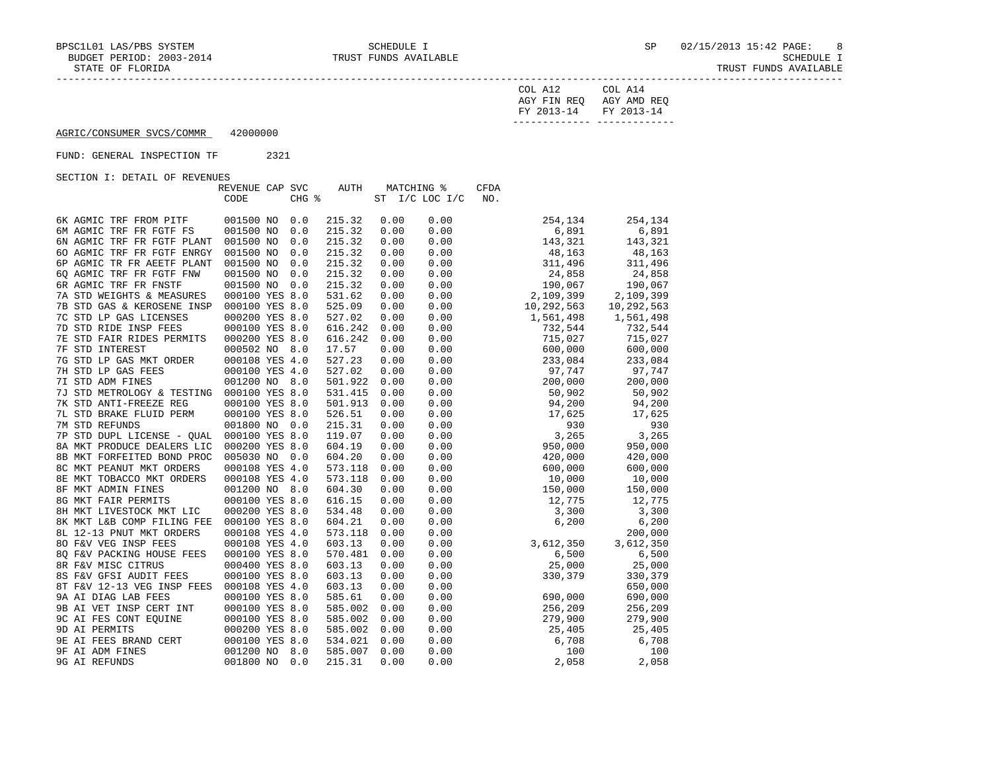| COL A12               | COL A14     |
|-----------------------|-------------|
| AGY FIN REO           | AGY AMD REO |
| FY 2013-14 FY 2013-14 |             |
|                       |             |

AGRIC/CONSUMER SVCS/COMMR 42000000

# FUND: GENERAL INSPECTION TF 2321

|                            | REVENUE CAP SVC |       | AUTH    | MATCHING % |                 | CFDA       |         |            |
|----------------------------|-----------------|-------|---------|------------|-----------------|------------|---------|------------|
|                            | CODE            | CHG % |         | <b>ST</b>  | $I/C$ LOC $I/C$ | NO.        |         |            |
|                            |                 |       |         |            |                 |            |         |            |
| 6K AGMIC TRF FROM PITF     | 001500 NO       | 0.0   | 215.32  | 0.00       | 0.00            |            | 254,134 | 254,134    |
| 6M AGMIC TRF FR FGTF FS    | 001500 NO       | 0.0   | 215.32  | 0.00       | 0.00            |            | 6,891   | 6,891      |
| 6N AGMIC TRF FR FGTF PLANT | 001500 NO       | 0.0   | 215.32  | 0.00       | 0.00            |            | 143,321 | 143,321    |
| 60 AGMIC TRF FR FGTF ENRGY | 001500 NO       | 0.0   | 215.32  | 0.00       | 0.00            |            | 48,163  | 48,163     |
| 6P AGMIC TR FR AEETF PLANT | 001500 NO       | 0.0   | 215.32  | 0.00       | 0.00            |            | 311,496 | 311,496    |
| 60 AGMIC TRF FR FGTF FNW   | 001500 NO       | 0.0   | 215.32  | 0.00       | 0.00            |            | 24,858  | 24,858     |
| 6R AGMIC TRF FR FNSTF      | 001500 NO       | 0.0   | 215.32  | 0.00       | 0.00            |            | 190,067 | 190,067    |
| 7A STD WEIGHTS & MEASURES  | 000100 YES 8.0  |       | 531.62  | 0.00       | 0.00            | 2,109,399  |         | 2,109,399  |
| 7B STD GAS & KEROSENE INSP | 000100 YES 8.0  |       | 525.09  | 0.00       | 0.00            | 10,292,563 |         | 10,292,563 |
| 7C STD LP GAS LICENSES     | 000200 YES 8.0  |       | 527.02  | 0.00       | 0.00            | 1,561,498  |         | 1,561,498  |
| 7D STD RIDE INSP FEES      | 000100 YES 8.0  |       | 616.242 | 0.00       | 0.00            |            | 732,544 | 732,544    |
| 7E STD FAIR RIDES PERMITS  | 000200 YES 8.0  |       | 616.242 | 0.00       | 0.00            |            | 715,027 | 715,027    |
| 7F STD INTEREST            | 000502 NO       | 8.0   | 17.57   | 0.00       | 0.00            |            | 600,000 | 600,000    |
| 7G STD LP GAS MKT ORDER    | 000108 YES 4.0  |       | 527.23  | 0.00       | 0.00            |            | 233,084 | 233,084    |
| 7H STD LP GAS FEES         | 000100 YES 4.0  |       | 527.02  | 0.00       | 0.00            |            | 97,747  | 97,747     |
| 7I STD ADM FINES           | 001200 NO 8.0   |       | 501.922 | 0.00       | 0.00            |            | 200,000 | 200,000    |
| 7J STD METROLOGY & TESTING | 000100 YES 8.0  |       | 531.415 | 0.00       | 0.00            |            | 50,902  | 50,902     |
| 7K STD ANTI-FREEZE REG     | 000100 YES 8.0  |       | 501.913 | 0.00       | 0.00            |            | 94,200  | 94,200     |
| 7L STD BRAKE FLUID PERM    | 000100 YES 8.0  |       | 526.51  | 0.00       | 0.00            |            | 17,625  | 17,625     |
| 7M STD REFUNDS             | 001800 NO       | 0.0   | 215.31  | 0.00       | 0.00            |            | 930     | 930        |
| 7P STD DUPL LICENSE - QUAL | 000100 YES 8.0  |       | 119.07  | 0.00       | 0.00            |            | 3,265   | 3,265      |
| 8A MKT PRODUCE DEALERS LIC | 000200 YES 8.0  |       | 604.19  | 0.00       | 0.00            |            | 950,000 | 950,000    |
| 8B MKT FORFEITED BOND PROC | 005030 NO       | 0.0   | 604.20  | 0.00       | 0.00            |            | 420,000 | 420,000    |
| 8C MKT PEANUT MKT ORDERS   | 000108 YES 4.0  |       | 573.118 | 0.00       | 0.00            |            | 600,000 | 600,000    |
| 8E MKT TOBACCO MKT ORDERS  | 000108 YES 4.0  |       | 573.118 | 0.00       | 0.00            |            | 10,000  | 10,000     |
| 8F MKT ADMIN FINES         | 001200 NO 8.0   |       | 604.30  | 0.00       | 0.00            |            | 150,000 | 150,000    |
| 8G MKT FAIR PERMITS        | 000100 YES 8.0  |       | 616.15  | 0.00       | 0.00            |            | 12,775  | 12,775     |
| 8H MKT LIVESTOCK MKT LIC   | 000200 YES 8.0  |       | 534.48  | 0.00       | 0.00            |            | 3,300   | 3,300      |
| 8K MKT L&B COMP FILING FEE | 000100 YES 8.0  |       | 604.21  | 0.00       | 0.00            |            | 6,200   | 6, 200     |
| 8L 12-13 PNUT MKT ORDERS   | 000108 YES 4.0  |       | 573.118 | 0.00       | 0.00            |            |         | 200,000    |
| 80 F&V VEG INSP FEES       | 000108 YES 4.0  |       | 603.13  | 0.00       | 0.00            | 3,612,350  |         | 3,612,350  |
| 8Q F&V PACKING HOUSE FEES  | 000100 YES 8.0  |       | 570.481 | 0.00       | 0.00            |            | 6,500   | 6,500      |
| 8R F&V MISC CITRUS         | 000400 YES 8.0  |       | 603.13  | 0.00       | 0.00            |            | 25,000  | 25,000     |
| 8S F&V GFSI AUDIT FEES     | 000100 YES 8.0  |       | 603.13  | 0.00       | 0.00            |            | 330,379 | 330,379    |
| 8T F&V 12-13 VEG INSP FEES | 000108 YES 4.0  |       | 603.13  | 0.00       | 0.00            |            |         | 650,000    |
| 9A AI DIAG LAB FEES        | 000100 YES 8.0  |       | 585.61  | 0.00       | 0.00            |            | 690,000 | 690,000    |
| 9B AI VET INSP CERT INT    | 000100 YES 8.0  |       | 585.002 | 0.00       | 0.00            |            | 256,209 | 256,209    |
| 9C AI FES CONT EQUINE      | 000100 YES 8.0  |       | 585.002 | 0.00       | 0.00            |            | 279,900 | 279,900    |
| 9D AI PERMITS              | 000200 YES 8.0  |       | 585.002 | 0.00       | 0.00            |            | 25,405  | 25,405     |
| 9E AI FEES BRAND CERT      | 000100 YES 8.0  |       | 534.021 | 0.00       | 0.00            |            | 6,708   | 6,708      |
| 9F AI ADM FINES            | 001200 NO       | 8.0   | 585.007 | 0.00       | 0.00            |            | 100     | 100        |
| 9G AI REFUNDS              | 001800 NO       | 0.0   | 215.31  | 0.00       | 0.00            |            | 2,058   | 2,058      |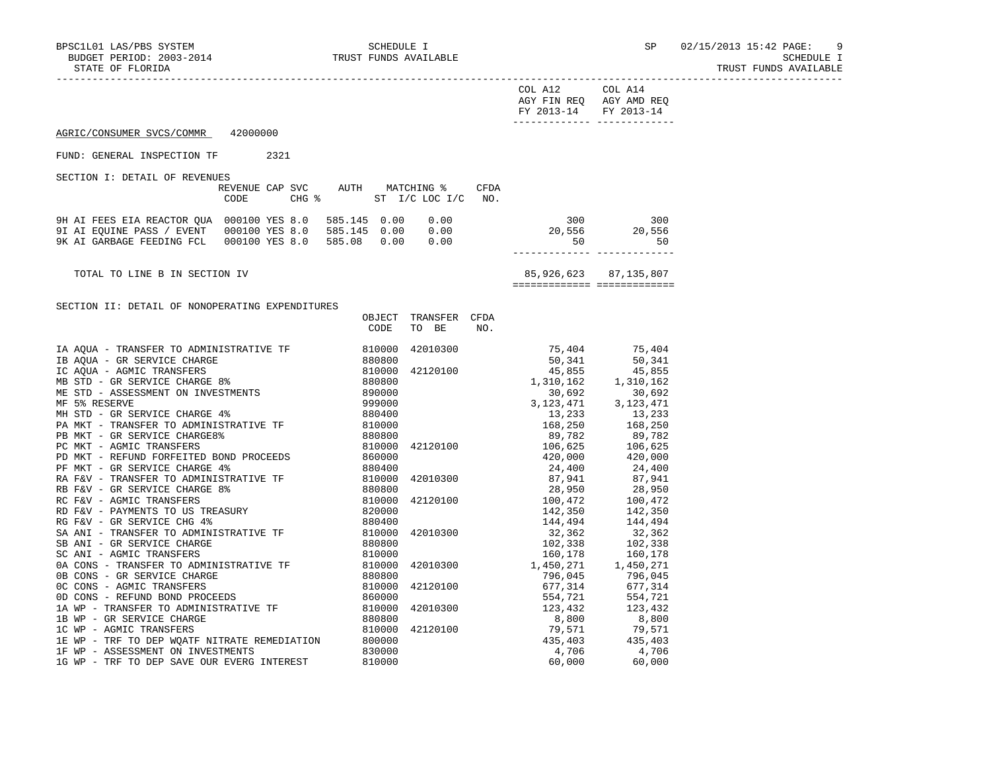1G WP - TRF TO DEP SAVE OUR EVERG INTEREST

# TRUST FUNDS AVAILABLE

| COL A12<br>COL A14<br>AGY FIN REQ AGY AMD REQ<br>FY 2013-14 FY 2013-14<br>AGRIC/CONSUMER SVCS/COMMR<br>42000000<br>FUND: GENERAL INSPECTION TF 2321<br>SECTION I: DETAIL OF REVENUES<br>REVENUE CAP SVC AUTH MATCHING %<br>CFDA<br>CODE<br>CHG $\frac{1}{6}$ ST I/C LOC I/C NO.<br>300 300<br>20,556 20,556<br>9H AI FEES EIA REACTOR QUA 000100 YES 8.0 585.145 0.00 0.00<br>9I AI EQUINE PASS / EVENT 000100 YES 8.0 585.145 0.00 0.00<br>9K AI GARBAGE FEEDING FCL 000100 YES 8.0 585.08 0.00 0.00<br>50<br>50<br>----------- -------------<br>85,926,623 87,135,807<br>TOTAL TO LINE B IN SECTION IV<br>===========================<br>SECTION II: DETAIL OF NONOPERATING EXPENDITURES<br>OBJECT TRANSFER CFDA<br>CODE<br>TO BE<br>NO. | STATE OF FLORIDA | TRUST FUNDS AVAILABLE |  |
|--------------------------------------------------------------------------------------------------------------------------------------------------------------------------------------------------------------------------------------------------------------------------------------------------------------------------------------------------------------------------------------------------------------------------------------------------------------------------------------------------------------------------------------------------------------------------------------------------------------------------------------------------------------------------------------------------------------------------------------------|------------------|-----------------------|--|
|                                                                                                                                                                                                                                                                                                                                                                                                                                                                                                                                                                                                                                                                                                                                            |                  |                       |  |
|                                                                                                                                                                                                                                                                                                                                                                                                                                                                                                                                                                                                                                                                                                                                            |                  |                       |  |
|                                                                                                                                                                                                                                                                                                                                                                                                                                                                                                                                                                                                                                                                                                                                            |                  |                       |  |
|                                                                                                                                                                                                                                                                                                                                                                                                                                                                                                                                                                                                                                                                                                                                            |                  |                       |  |
|                                                                                                                                                                                                                                                                                                                                                                                                                                                                                                                                                                                                                                                                                                                                            |                  |                       |  |
|                                                                                                                                                                                                                                                                                                                                                                                                                                                                                                                                                                                                                                                                                                                                            |                  |                       |  |
|                                                                                                                                                                                                                                                                                                                                                                                                                                                                                                                                                                                                                                                                                                                                            |                  |                       |  |
|                                                                                                                                                                                                                                                                                                                                                                                                                                                                                                                                                                                                                                                                                                                                            |                  |                       |  |
| $\begin{array}{cccccc} \textbf{17.333} & \textbf{28.343} & \textbf{39.45} & \textbf{42120100} & \textbf{554.721} & \textbf{554.721} \\ \textbf{42120100} & \textbf{677.314} & \textbf{677.314} & \textbf{677.314} \\ \textbf{554.721} & \textbf{554.721} & \textbf{554.721} & \textbf{554.721} & \textbf{554.721} & \textbf{554.721} \\ \textbf{42$                                                                                                                                                                                                                                                                                                                                                                                        |                  |                       |  |

1C WP - AGMIC TRANSFERS<br>1E WP - TRF TO DEP WOATF NITRATE REMEDIATION 800000 82120100 79,571 435,403 435,403 1E WP - TRF TO DEP WORTF NITRATE REMEDIATION 800000 <br>1F WP - ASSESSMENT ON INVESTMENTS 830000 4,706 4,706 4,706 1F WP - ASSESSMENT ON INVESTMENTS 830000 4,706 4,706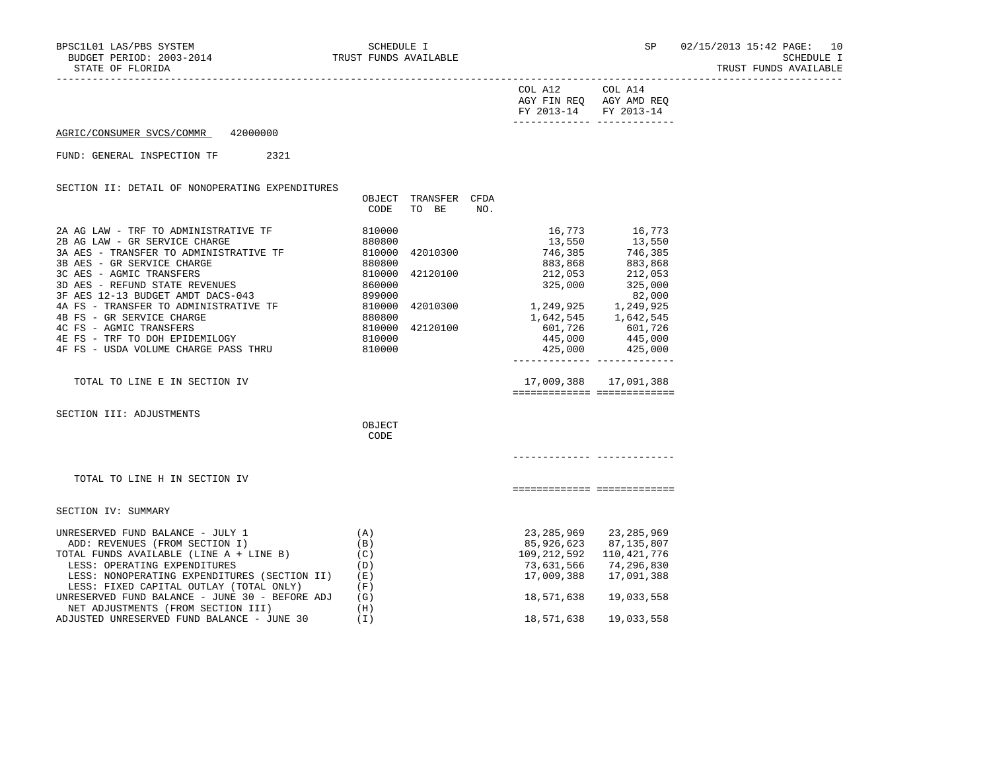STATE OF FLORIDA TRUST FUNDS AVAILABLE

| COL A12                              | COL A14     |
|--------------------------------------|-------------|
| AGY FIN REQ<br>FY 2013-14 FY 2013-14 | AGY AMD REO |
|                                      |             |

AGRIC/CONSUMER SVCS/COMMR 42000000

FUND: GENERAL INSPECTION TF 2321

SECTION II: DETAIL OF NONOPERATING EXPENDITURES

|                                                                                                      | OBJECT<br>CODE             | TRANSFER<br>TO BE | CFDA<br>NO. |                                                                   |                                                    |  |
|------------------------------------------------------------------------------------------------------|----------------------------|-------------------|-------------|-------------------------------------------------------------------|----------------------------------------------------|--|
| 2A AG LAW - TRF TO ADMINISTRATIVE TF<br>2B AG LAW - GR SERVICE CHARGE                                | 810000<br>880800           |                   |             |                                                                   | 16,773 16,773<br>13,550 13,550                     |  |
| 3A AES - TRANSFER TO ADMINISTRATIVE TF 810000<br>3B AES - GR SERVICE CHARGE<br>880800                |                            | 42010300          |             | 746,385<br>883,868                                                | 746,385<br>883,868                                 |  |
| 3C AES - AGMIC TRANSFERS<br>3D AES - REFUND STATE REVENUES                                           | 810000<br>860000           | 42120100          |             | 212,053<br>325,000                                                | 212,053<br>325,000                                 |  |
| 4A FS - TRANSFER TO ADMINISTRATIVE TF<br>4B FS - GR SERVICE CHAPGE                                   | 899000<br>810000<br>880800 | 42010300          |             | 8, 249, 925<br>1, 249, 925<br>1, 642, 545<br>601, 726<br>601, 726 | 82,000                                             |  |
| 4C FS - AGMIC TRANSFERS<br>4E FS - TRF TO DOH EPIDEMILOGY                                            | 810000<br>810000           | 42120100          |             | 445,000 445,000                                                   |                                                    |  |
| 4F FS - USDA VOLUME CHARGE PASS THRU 810000                                                          |                            |                   |             | ________________________________                                  | 425,000 425,000                                    |  |
| TOTAL TO LINE E IN SECTION IV                                                                        |                            |                   |             | ============================                                      | 17,009,388 17,091,388                              |  |
| SECTION III: ADJUSTMENTS                                                                             |                            |                   |             |                                                                   |                                                    |  |
|                                                                                                      | OBJECT<br>CODE             |                   |             |                                                                   |                                                    |  |
|                                                                                                      |                            |                   |             |                                                                   |                                                    |  |
| TOTAL TO LINE H IN SECTION IV                                                                        |                            |                   |             | ============== ==============                                     |                                                    |  |
| SECTION IV: SUMMARY                                                                                  |                            |                   |             |                                                                   |                                                    |  |
| UNRESERVED FUND BALANCE - JULY 1<br>ADD: REVENUES (FROM SECTION I)<br>ADD: REVENUES (FROM SECTION I) | (A)<br>(B)                 |                   |             |                                                                   | 23, 285, 969 23, 285, 969<br>85,926,623 87,135,807 |  |
| TOTAL FUNDS AVAILABLE (LINE A + LINE B)<br>LESS: OPERATING EXPENDITURES                              | (C)<br>(D)                 |                   |             | 109, 212, 592 110, 421, 776                                       | 73,631,566 74,296,830                              |  |
| LESS: NONOPERATING EXPENDITURES (SECTION II)<br>LESS: FIXED CAPITAL OUTLAY (TOTAL ONLY)              | (E)<br>(F)                 |                   |             | 17,009,388                                                        | 17,091,388                                         |  |
| UNRESERVED FUND BALANCE - JUNE 30 - BEFORE ADJ<br>NET ADJUSTMENTS (FROM SECTION III)                 | (G)<br>(H)                 |                   |             | 18,571,638                                                        | 19,033,558                                         |  |
| ADJUSTED UNRESERVED FUND BALANCE - JUNE 30                                                           | (I)                        |                   |             | 18,571,638                                                        | 19,033,558                                         |  |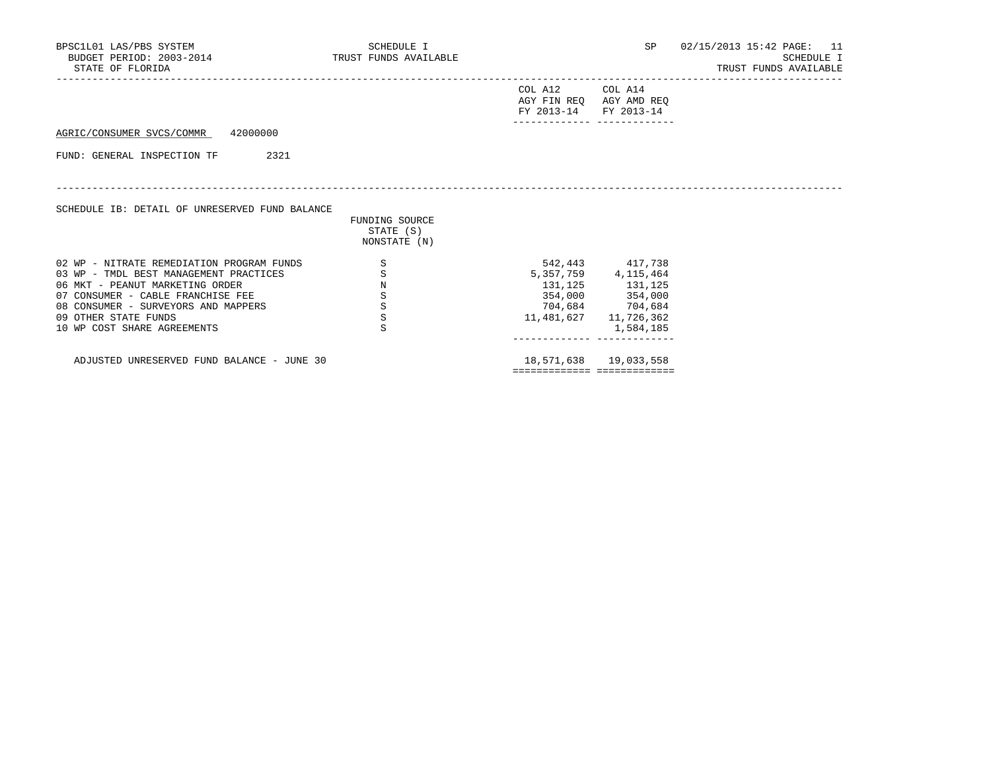| BPSC1L01 LAS/PBS SYSTEM<br>BUDGET PERIOD: 2003-2014 TRUST FUNDS AVAILABLE<br>STATE OF FLORIDA |         | SCHEDULE I                                  |                                                                     |                         | SP 02/15/2013 15:42 PAGE: 11<br><b>SCHEDULE I</b><br>TRUST FUNDS AVAILABLE |
|-----------------------------------------------------------------------------------------------|---------|---------------------------------------------|---------------------------------------------------------------------|-------------------------|----------------------------------------------------------------------------|
|                                                                                               |         |                                             | COL A12 COL A14<br>AGY FIN REO AGY AMD REO<br>FY 2013-14 FY 2013-14 |                         |                                                                            |
| AGRIC/CONSUMER SVCS/COMMR 42000000                                                            |         |                                             |                                                                     |                         |                                                                            |
| 2321<br>FUND: GENERAL INSPECTION TF                                                           |         |                                             |                                                                     |                         |                                                                            |
| SCHEDULE IB: DETAIL OF UNRESERVED FUND BALANCE                                                |         | FUNDING SOURCE<br>STATE (S)<br>NONSTATE (N) |                                                                     |                         |                                                                            |
| 02 WP - NITRATE REMEDIATION PROGRAM FUNDS                                                     | S       |                                             |                                                                     | 542,443 417,738         |                                                                            |
| 03 WP - TMDL BEST MANAGEMENT PRACTICES                                                        | $\rm S$ |                                             |                                                                     | 5, 357, 759 4, 115, 464 |                                                                            |
| 06 MKT - PEANUT MARKETING ORDER                                                               | $\rm N$ |                                             |                                                                     | 131, 125 131, 125       |                                                                            |
| 07 CONSUMER - CABLE FRANCHISE FEE                                                             | S       |                                             |                                                                     | 354,000 354,000         |                                                                            |
| 08 CONSUMER - SURVEYORS AND MAPPERS                                                           | S       |                                             |                                                                     | 704,684 704,684         |                                                                            |
| 09 OTHER STATE FUNDS                                                                          | $\rm S$ |                                             | 11,481,627                                                          | 11,726,362              |                                                                            |
| 10 WP COST SHARE AGREEMENTS                                                                   | S       |                                             |                                                                     | 1,584,185               |                                                                            |
| ADJUSTED UNRESERVED FUND BALANCE - JUNE 30                                                    |         |                                             |                                                                     | 18,571,638  19,033,558  |                                                                            |
|                                                                                               |         |                                             |                                                                     |                         |                                                                            |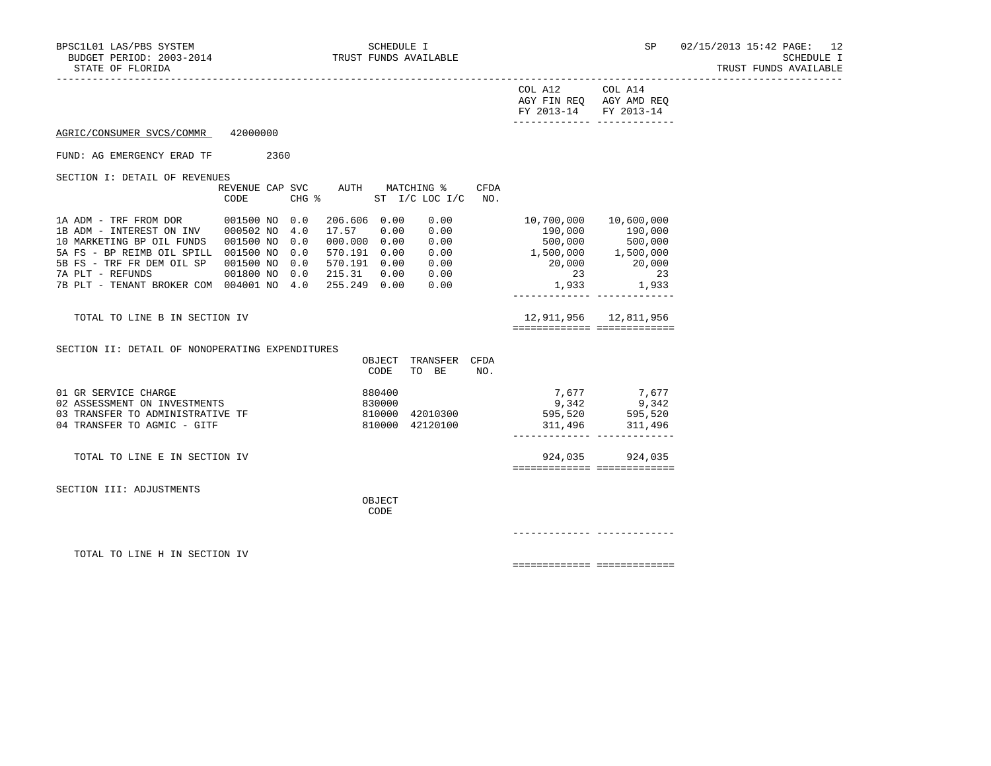TRUST FUNDS AVAILABLE

|                                                                                                                                                                                                             |      |      |                                                            |                  |                                                                                               |      | COL A12 COL A14<br>AGY FIN REQ AGY AMD REQ<br>FY 2013-14 FY 2013-14<br>_______________________________                      |                                                    |  |
|-------------------------------------------------------------------------------------------------------------------------------------------------------------------------------------------------------------|------|------|------------------------------------------------------------|------------------|-----------------------------------------------------------------------------------------------|------|-----------------------------------------------------------------------------------------------------------------------------|----------------------------------------------------|--|
| AGRIC/CONSUMER SVCS/COMMR 42000000                                                                                                                                                                          |      |      |                                                            |                  |                                                                                               |      |                                                                                                                             |                                                    |  |
| FUND: AG EMERGENCY ERAD TF                                                                                                                                                                                  |      | 2360 |                                                            |                  |                                                                                               |      |                                                                                                                             |                                                    |  |
| SECTION I: DETAIL OF REVENUES                                                                                                                                                                               | CODE |      |                                                            |                  | REVENUE CAP SVC AUTH MATCHING %<br>CHG $\frac{1}{2}$ ST I/C LOC I/C NO.                       | CFDA |                                                                                                                             |                                                    |  |
| 10 MARKETING BP OIL FUNDS 001500 NO 0.0<br>5A FS - BP REIMB OIL SPILL 001500 NO 0.0<br>5B FS - TRF FR DEM OIL SP 001500 NO 0.0<br>7A PLT - REFUNDS<br>7B PLT - TENANT BROKER COM 004001 NO 4.0 255.249 0.00 |      |      | 206.606 0.00<br>17.57 0.00<br>000.000 0.00<br>570.191 0.00 |                  | 0.00<br>0.00<br>0.00<br>0.00<br>570.191  0.00  0.00<br>001800 NO 0.0 215.31 0.00 0.00<br>0.00 |      | 10,700,000 10,600,000<br>$500,000$ $500,000$<br>$1,500,000$ $1,500,000$<br>20,000<br>23<br>________________________________ | 190,000 190,000<br>20,000<br>23<br>$1,933$ $1,933$ |  |
| TOTAL TO LINE B IN SECTION IV                                                                                                                                                                               |      |      |                                                            |                  |                                                                                               |      | 12,911,956 12,811,956<br>============================                                                                       |                                                    |  |
| SECTION II: DETAIL OF NONOPERATING EXPENDITURES                                                                                                                                                             |      |      |                                                            | CODE             | OBJECT TRANSFER CFDA<br>TO BE                                                                 | NO.  |                                                                                                                             |                                                    |  |
| 01 GR SERVICE CHARGE<br>02 ASSESSMENT ON INVESTMENTS<br>03 TRANSFER TO ADMINISTRATIVE TF<br>04 TRANSFER TO AGMIC - GITF                                                                                     |      |      |                                                            | 880400<br>830000 | 810000 42010300<br>810000 42120100                                                            |      | 595,520             595,520<br>311,496                311,496                                                               | 7,677 7,677<br>$9,342$ $9,342$                     |  |
| TOTAL TO LINE E IN SECTION IV                                                                                                                                                                               |      |      |                                                            |                  |                                                                                               |      | ============== ==============                                                                                               | 924,035 924,035                                    |  |
| SECTION III: ADJUSTMENTS                                                                                                                                                                                    |      |      |                                                            | OBJECT<br>CODE   |                                                                                               |      |                                                                                                                             |                                                    |  |
|                                                                                                                                                                                                             |      |      |                                                            |                  |                                                                                               |      |                                                                                                                             |                                                    |  |
| TOTAL TO LINE H IN SECTION IV                                                                                                                                                                               |      |      |                                                            |                  |                                                                                               |      | ============================                                                                                                |                                                    |  |
|                                                                                                                                                                                                             |      |      |                                                            |                  |                                                                                               |      |                                                                                                                             |                                                    |  |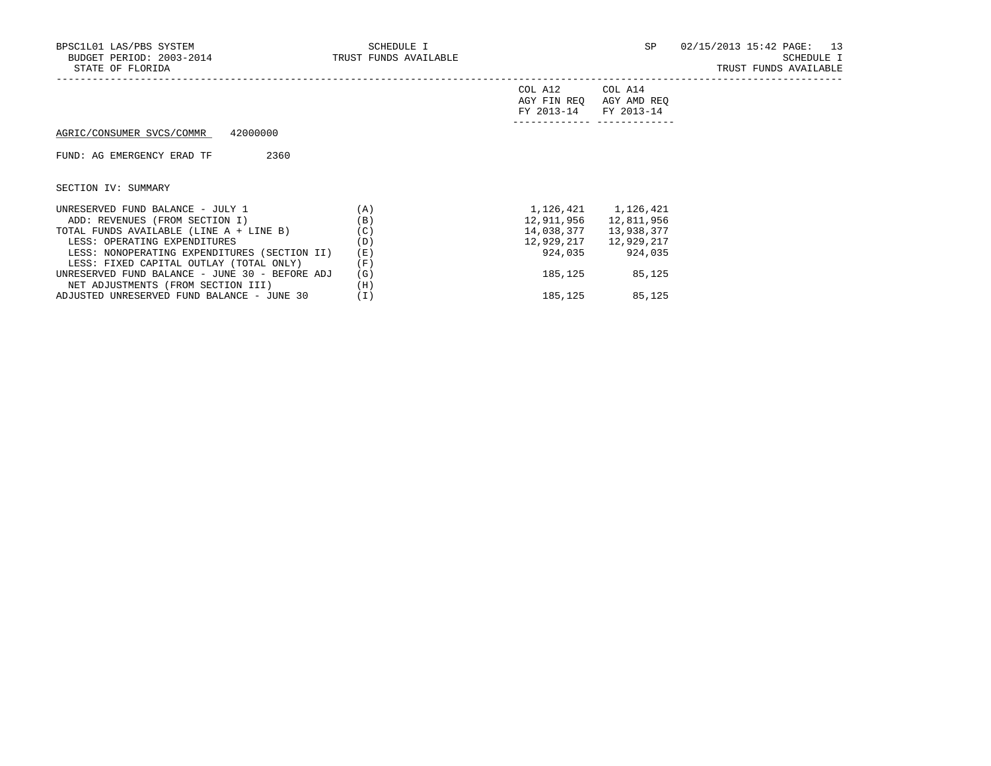|                                                |     | COL A12<br>AGY FIN REO<br>FY 2013-14 | COL A14<br>AGY AMD REO<br>FY 2013-14 |
|------------------------------------------------|-----|--------------------------------------|--------------------------------------|
| 42000000<br>AGRIC/CONSUMER SVCS/COMMR          |     |                                      |                                      |
| 2360<br>FUND: AG EMERGENCY ERAD TF             |     |                                      |                                      |
| SECTION IV: SUMMARY                            |     |                                      |                                      |
| UNRESERVED FUND BALANCE - JULY 1               | (A) |                                      | 1, 126, 421 1, 126, 421              |
| ADD: REVENUES (FROM SECTION I)                 | (B) | 12,911,956                           | 12,811,956                           |
| TOTAL FUNDS AVAILABLE (LINE A + LINE B)        | (C) | 14,038,377                           | 13,938,377                           |
| LESS: OPERATING EXPENDITURES                   | (D) | 12,929,217                           | 12,929,217                           |
| LESS: NONOPERATING EXPENDITURES (SECTION II)   | (E) | 924,035                              | 924,035                              |
| LESS: FIXED CAPITAL OUTLAY (TOTAL ONLY)        | (F) |                                      |                                      |
| UNRESERVED FUND BALANCE - JUNE 30 - BEFORE ADJ | (G) | 185,125                              | 85,125                               |
| NET ADJUSTMENTS (FROM SECTION III)             | (H) |                                      |                                      |

ADJUSTED UNRESERVED FUND BALANCE - JUNE 30 (I) 185,125 85,125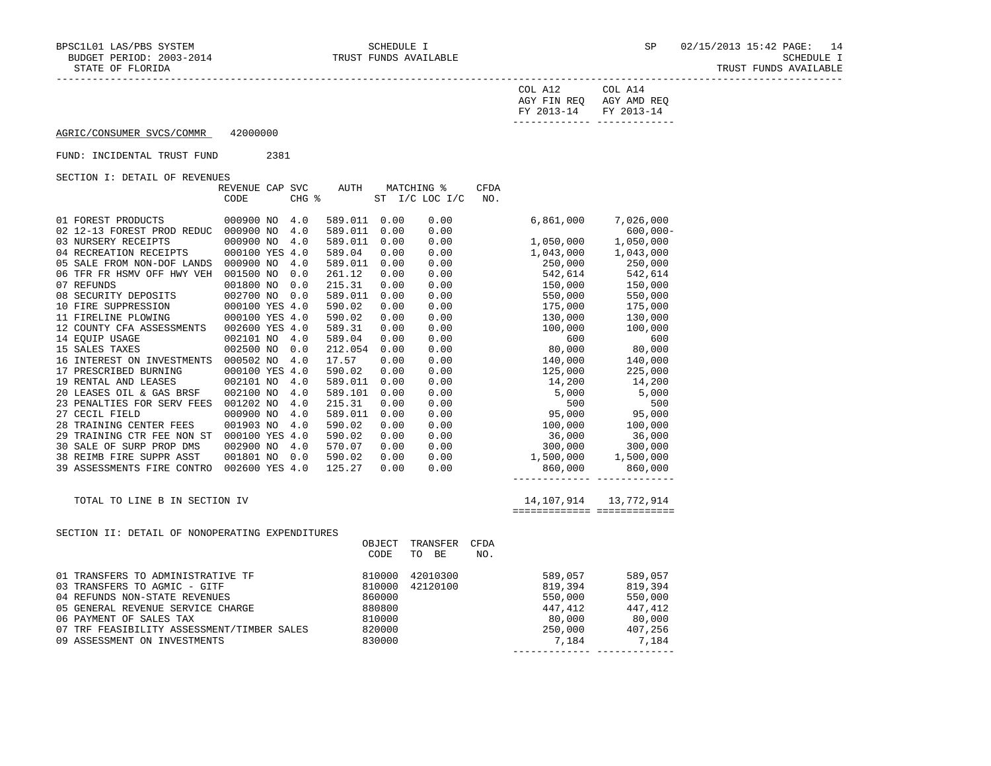| COL A12               | COL A14                 |
|-----------------------|-------------------------|
|                       | AGY FIN REO AGY AMD REO |
| FY 2013-14 FY 2013-14 |                         |
|                       |                         |

------------- -------------

AGRIC/CONSUMER SVCS/COMMR 42000000

## FUND: INCIDENTAL TRUST FUND 2381

SECTION I: DETAIL OF REVENUES

|                                                 | REVENUE CAP SVC |       | AUTH    |        | MATCHING %      | <b>CFDA</b> |                                 |                                           |
|-------------------------------------------------|-----------------|-------|---------|--------|-----------------|-------------|---------------------------------|-------------------------------------------|
|                                                 | CODE            | CHG % |         | ST     | $I/C$ LOC $I/C$ | NO.         |                                 |                                           |
|                                                 |                 |       |         |        |                 |             |                                 |                                           |
| 01 FOREST PRODUCTS                              | 000900 NO       | 4.0   | 589.011 | 0.00   | 0.00            |             | 6,861,000                       | 7,026,000                                 |
| 02 12-13 FOREST PROD REDUC                      | 000900 NO       | 4.0   | 589.011 | 0.00   | 0.00            |             |                                 | $600,000 -$                               |
| 03 NURSERY RECEIPTS                             | 000900 NO       | 4.0   | 589.011 | 0.00   | 0.00            |             | 1,050,000                       | 1,050,000                                 |
| 04 RECREATION RECEIPTS                          | 000100 YES 4.0  |       | 589.04  | 0.00   | 0.00            |             | 1,043,000                       | 1,043,000                                 |
| 05 SALE FROM NON-DOF LANDS                      | 000900 NO       | 4.0   | 589.011 | 0.00   | 0.00            |             | 250,000                         | 250,000                                   |
| 06 TFR FR HSMV OFF HWY VEH                      | 001500 NO       | 0.0   | 261.12  | 0.00   | 0.00            |             | 542,614                         | 542,614                                   |
| 07 REFUNDS                                      | 001800 NO       | 0.0   | 215.31  | 0.00   | 0.00            |             | 150,000                         | 150,000                                   |
| 08 SECURITY DEPOSITS                            | 002700 NO       | 0.0   | 589.011 | 0.00   | 0.00            |             | 550,000                         | 550,000                                   |
| 10 FIRE SUPPRESSION                             | 000100 YES 4.0  |       | 590.02  | 0.00   | 0.00            |             | 175,000                         | 175,000                                   |
| 11 FIRELINE PLOWING                             | 000100 YES 4.0  |       | 590.02  | 0.00   | 0.00            |             | 130,000                         | 130,000                                   |
| 12 COUNTY CFA ASSESSMENTS                       | 002600 YES 4.0  |       | 589.31  | 0.00   | 0.00            |             | 100,000                         | 100,000                                   |
| 14 EOUIP USAGE                                  | 002101 NO       | 4.0   | 589.04  | 0.00   | 0.00            |             | 600                             | 600                                       |
| 15 SALES TAXES                                  | 002500 NO       | 0.0   | 212.054 | 0.00   | 0.00            |             | 80,000                          | 80,000                                    |
| 16 INTEREST ON INVESTMENTS                      | 000502 NO       | 4.0   | 17.57   | 0.00   | 0.00            |             | 140,000                         | 140,000                                   |
| 17 PRESCRIBED BURNING                           | 000100 YES 4.0  |       | 590.02  | 0.00   | 0.00            |             | 125,000                         | 225,000                                   |
| 19 RENTAL AND LEASES                            | 002101 NO       | 4.0   | 589.011 | 0.00   | 0.00            |             | 14,200                          | 14,200                                    |
| 20 LEASES OIL & GAS BRSF                        | 002100 NO       | 4.0   | 589.101 | 0.00   | 0.00            |             | 5,000                           | 5,000                                     |
| 23 PENALTIES FOR SERV FEES                      | 001202 NO       | 4.0   | 215.31  | 0.00   | 0.00            |             | 500                             | 500                                       |
| 27 CECIL FIELD                                  | 000900 NO       | 4.0   | 589.011 | 0.00   | 0.00            |             | 95,000                          | 95,000                                    |
| 28 TRAINING CENTER FEES                         | 001903 NO       | 4.0   | 590.02  | 0.00   | 0.00            |             | 100,000                         | 100,000                                   |
| 29 TRAINING CTR FEE NON ST                      | 000100 YES 4.0  |       | 590.02  | 0.00   | 0.00            |             | 36,000                          | 36,000                                    |
| 30 SALE OF SURP PROP DMS                        | 002900 NO       | 4.0   | 570.07  | 0.00   | 0.00            |             | 300,000                         | 300,000                                   |
| 38 REIMB FIRE SUPPR ASST                        | 001801 NO       | 0.0   | 590.02  | 0.00   | 0.00            |             | 1,500,000                       | 1,500,000                                 |
| 39 ASSESSMENTS FIRE CONTRO                      | 002600 YES 4.0  |       | 125.27  | 0.00   | 0.00            |             | 860,000                         | 860,000                                   |
|                                                 |                 |       |         |        |                 |             | _______________________________ |                                           |
|                                                 |                 |       |         |        |                 |             |                                 |                                           |
| TOTAL TO LINE B IN SECTION IV                   |                 |       |         |        |                 |             | 14,107,914                      | 13,772,914<br>=========================== |
|                                                 |                 |       |         |        |                 |             |                                 |                                           |
| SECTION II: DETAIL OF NONOPERATING EXPENDITURES |                 |       |         |        |                 |             |                                 |                                           |
|                                                 |                 |       |         | OBJECT | TRANSFER        | CFDA        |                                 |                                           |
|                                                 |                 |       |         | CODE   | TO BE           | NO.         |                                 |                                           |
| 01 TRANSFERS TO ADMINISTRATIVE TF               |                 |       |         | 810000 | 42010300        |             | 589,057                         | 589,057                                   |
| 03 TRANSFERS TO AGMIC - GITF                    |                 |       |         | 810000 | 42120100        |             | 819,394                         | 819,394                                   |
| 04 REFUNDS NON-STATE REVENUES                   |                 |       |         | 860000 |                 |             | 550,000                         | 550,000                                   |
| 05 GENERAL REVENUE SERVICE CHARGE               |                 |       |         | 880800 |                 |             | 447,412                         | 447,412                                   |
| 06 PAYMENT OF SALES TAX                         |                 |       |         | 810000 |                 |             | 80,000                          | 80,000                                    |
| 07 TRF FEASIBILITY ASSESSMENT/TIMBER SALES      |                 |       |         | 820000 |                 |             | 250,000                         | 407,256                                   |
|                                                 |                 |       |         |        |                 |             |                                 |                                           |

09 ASSESSMENT ON INVESTMENTS 830000 7,184 7,184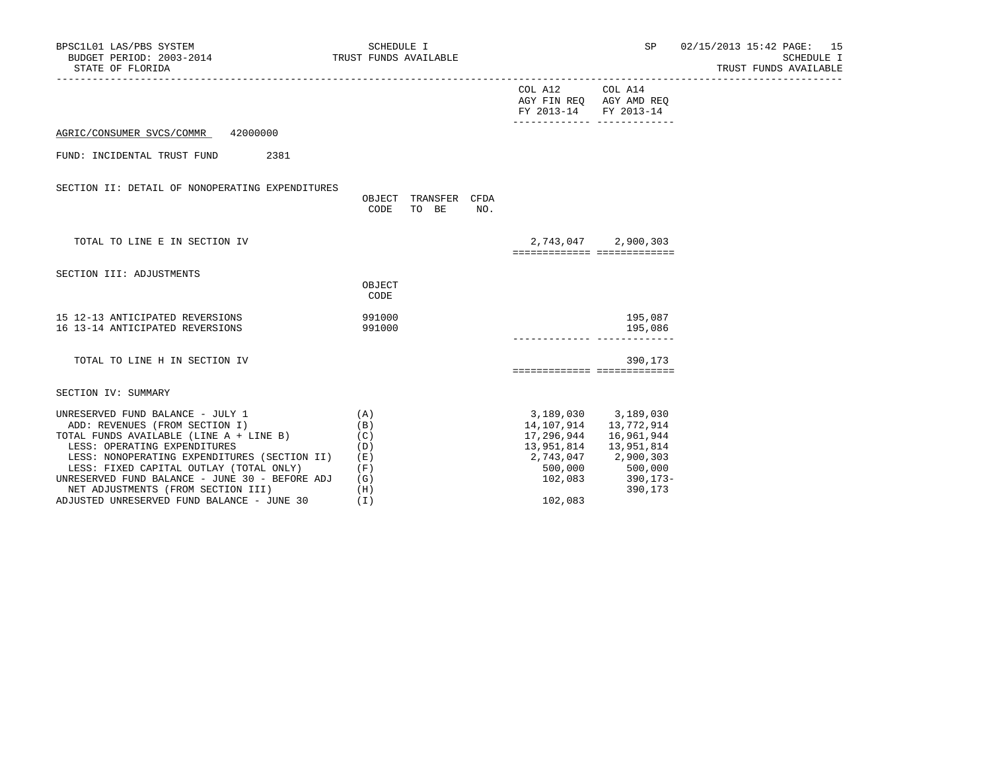| BPSC1L01 LAS/PBS SYSTEM<br>SCIL01 LAS/PBS SYSTEM<br>BUDGET PERIOD: 2003-2014 TRUST FUNDS AVAILABLE<br>STATE OF FLORIDA                                                                                                                                                                                                                                                         | SCHEDULE I                                                  |                                                                                             |                                                                                                                    | SP 02/15/2013 15:42 PAGE: 15<br>SCHEDULE I<br>TRUST FUNDS AVAILABLE |
|--------------------------------------------------------------------------------------------------------------------------------------------------------------------------------------------------------------------------------------------------------------------------------------------------------------------------------------------------------------------------------|-------------------------------------------------------------|---------------------------------------------------------------------------------------------|--------------------------------------------------------------------------------------------------------------------|---------------------------------------------------------------------|
|                                                                                                                                                                                                                                                                                                                                                                                |                                                             | COL A12 COL A14<br>AGY FIN REQ AGY AMD REQ<br>FY 2013-14<br>_______________________________ | FY 2013-14                                                                                                         |                                                                     |
| AGRIC/CONSUMER SVCS/COMMR 42000000                                                                                                                                                                                                                                                                                                                                             |                                                             |                                                                                             |                                                                                                                    |                                                                     |
| FUND: INCIDENTAL TRUST FUND<br>2381                                                                                                                                                                                                                                                                                                                                            |                                                             |                                                                                             |                                                                                                                    |                                                                     |
| SECTION II: DETAIL OF NONOPERATING EXPENDITURES                                                                                                                                                                                                                                                                                                                                | OBJECT TRANSFER CFDA<br>TO BE<br>CODE<br>NO.                |                                                                                             |                                                                                                                    |                                                                     |
| TOTAL TO LINE E IN SECTION IV                                                                                                                                                                                                                                                                                                                                                  |                                                             | ===========================                                                                 | 2,743,047 2,900,303                                                                                                |                                                                     |
| SECTION III: ADJUSTMENTS                                                                                                                                                                                                                                                                                                                                                       |                                                             |                                                                                             |                                                                                                                    |                                                                     |
|                                                                                                                                                                                                                                                                                                                                                                                | OBJECT<br>CODE                                              |                                                                                             |                                                                                                                    |                                                                     |
| 15 12-13 ANTICIPATED REVERSIONS<br>16 13-14 ANTICIPATED REVERSIONS                                                                                                                                                                                                                                                                                                             | 991000<br>991000                                            |                                                                                             | 195,087<br>195,086                                                                                                 |                                                                     |
| TOTAL TO LINE H IN SECTION IV                                                                                                                                                                                                                                                                                                                                                  |                                                             | ===========================                                                                 | 390,173                                                                                                            |                                                                     |
| SECTION IV: SUMMARY                                                                                                                                                                                                                                                                                                                                                            |                                                             |                                                                                             |                                                                                                                    |                                                                     |
| UNRESERVED FUND BALANCE - JULY 1<br>ADD: REVENUES (FROM SECTION I)<br>TOTAL FUNDS AVAILABLE (LINE A + LINE B)<br>LESS: OPERATING EXPENDITURES<br>LESS: NONOPERATING EXPENDITURES (SECTION II)<br>LESS: FIXED CAPITAL OUTLAY (TOTAL ONLY)<br>UNRESERVED FUND BALANCE - JUNE 30 - BEFORE ADJ<br>NET ADJUSTMENTS (FROM SECTION III)<br>ADJUSTED UNRESERVED FUND BALANCE - JUNE 30 | (A)<br>(B)<br>(C)<br>(D)<br>(E)<br>(F)<br>(G)<br>(H)<br>(I) | 3,189,030 3,189,030<br>14,107,914   13,772,914<br>17,296,944<br>102,083                     | 16,961,944<br>13,951,814   13,951,814<br>2,743,047 2,900,303<br>500,000 500,000<br>$102,083$ $390,173-$<br>390,173 |                                                                     |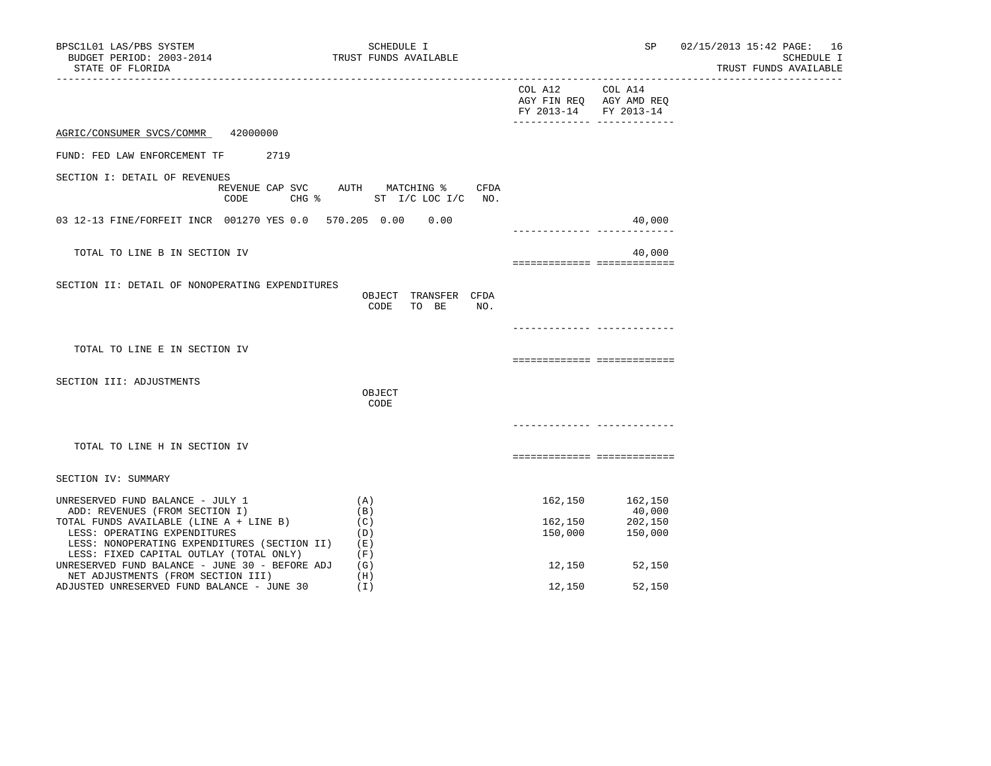| BPSC1L01 LAS/PBS SYSTEM<br>BUDGET PERIOD: 2003-2014<br>STATE OF FLORIDA                                                                                                                                                                  | SCHEDULE I<br>TRUST FUNDS AVAILABLE                          | -------------------------------  | SP                                                                    | 02/15/2013 15:42 PAGE: 16<br>SCHEDULE I<br>TRUST FUNDS AVAILABLE |
|------------------------------------------------------------------------------------------------------------------------------------------------------------------------------------------------------------------------------------------|--------------------------------------------------------------|----------------------------------|-----------------------------------------------------------------------|------------------------------------------------------------------|
|                                                                                                                                                                                                                                          |                                                              | COL A12<br>FY 2013-14 FY 2013-14 | COL A14<br>AGY FIN REQ AGY AMD REQ<br>_______________________________ |                                                                  |
| 42000000<br>AGRIC/CONSUMER SVCS/COMMR                                                                                                                                                                                                    |                                                              |                                  |                                                                       |                                                                  |
| 2719<br>FUND: FED LAW ENFORCEMENT TF                                                                                                                                                                                                     |                                                              |                                  |                                                                       |                                                                  |
| SECTION I: DETAIL OF REVENUES<br>REVENUE CAP SVC<br>CODE<br>$CHG$ $\frac{1}{6}$                                                                                                                                                          | AUTH MATCHING %<br>CFDA<br>ST I/C LOC I/C<br>NO <sub>z</sub> |                                  |                                                                       |                                                                  |
| 03 12-13 FINE/FORFEIT INCR 001270 YES 0.0 570.205 0.00 0.00                                                                                                                                                                              |                                                              |                                  | 40,000                                                                |                                                                  |
| TOTAL TO LINE B IN SECTION IV                                                                                                                                                                                                            |                                                              | ------------- -------------      | 40,000                                                                |                                                                  |
| SECTION II: DETAIL OF NONOPERATING EXPENDITURES                                                                                                                                                                                          | OBJECT TRANSFER CFDA<br>CODE<br>TO BE<br>NO.                 |                                  |                                                                       |                                                                  |
|                                                                                                                                                                                                                                          |                                                              |                                  | _____________ ____________                                            |                                                                  |
| TOTAL TO LINE E IN SECTION IV                                                                                                                                                                                                            |                                                              | ===========================      |                                                                       |                                                                  |
| SECTION III: ADJUSTMENTS                                                                                                                                                                                                                 | OBJECT<br>CODE                                               |                                  |                                                                       |                                                                  |
| TOTAL TO LINE H IN SECTION IV                                                                                                                                                                                                            |                                                              | ===========================      | ------------ ------------                                             |                                                                  |
| SECTION IV: SUMMARY                                                                                                                                                                                                                      |                                                              |                                  |                                                                       |                                                                  |
| UNRESERVED FUND BALANCE - JULY 1<br>ADD: REVENUES (FROM SECTION I)<br>TOTAL FUNDS AVAILABLE (LINE A + LINE B)<br>LESS: OPERATING EXPENDITURES<br>LESS: NONOPERATING EXPENDITURES (SECTION II)<br>LESS: FIXED CAPITAL OUTLAY (TOTAL ONLY) | (A)<br>(B)<br>(C)<br>(D)<br>(E)<br>(F)                       | 162,150<br>162,150<br>150,000    | 162,150<br>40,000<br>202,150<br>150,000                               |                                                                  |
| UNRESERVED FUND BALANCE - JUNE 30 - BEFORE ADJ<br>NET ADJUSTMENTS (FROM SECTION III)<br>ADJUSTED UNRESERVED FUND BALANCE - JUNE 30                                                                                                       | (G)<br>(H)<br>(I)                                            | 12,150<br>12,150                 | 52,150<br>52,150                                                      |                                                                  |
|                                                                                                                                                                                                                                          |                                                              |                                  |                                                                       |                                                                  |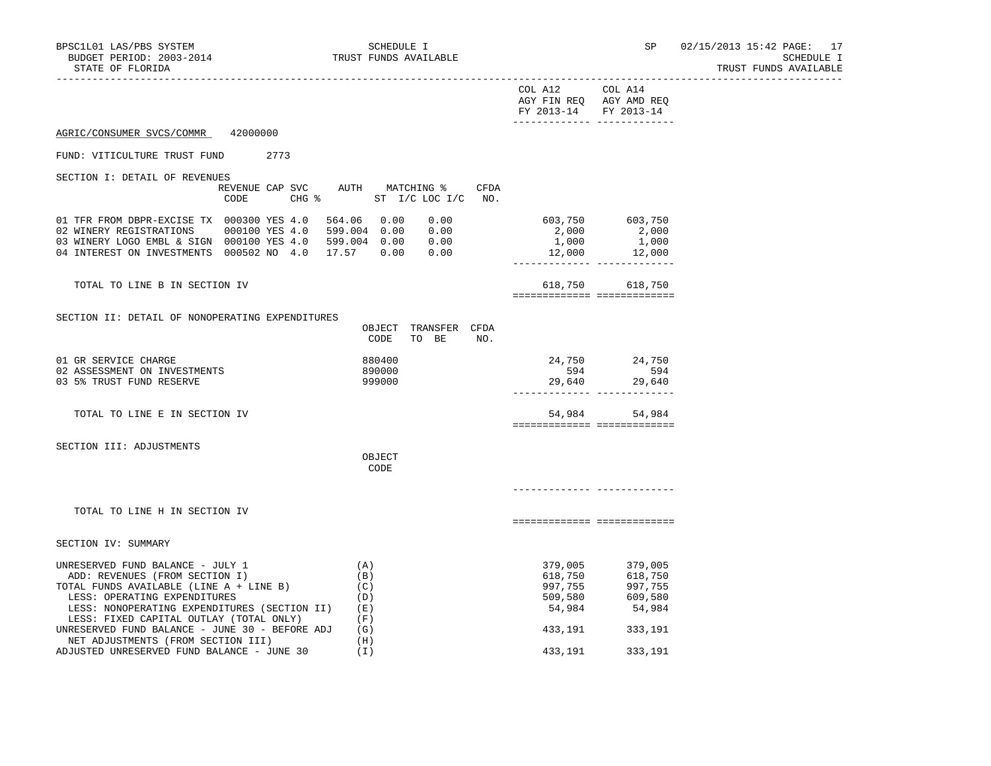|                                                                                                         |                                           | COL A12 COL A14   | AGY FIN REQ AGY AMD REQ<br>FY 2013-14 FY 2013-14 |
|---------------------------------------------------------------------------------------------------------|-------------------------------------------|-------------------|--------------------------------------------------|
| 42000000<br>AGRIC/CONSUMER SVCS/COMMR                                                                   |                                           |                   |                                                  |
| FUND: VITICULTURE TRUST FUND<br>2773                                                                    |                                           |                   |                                                  |
| SECTION I: DETAIL OF REVENUES                                                                           |                                           |                   |                                                  |
| REVENUE CAP SVC AUTH MATCHING %<br>$CHG$ $\approx$<br>CODE                                              | CFDA<br>ST I/C LOC I/C<br>NO.             |                   |                                                  |
| 01 TFR FROM DBPR-EXCISE TX 000300 YES 4.0                                                               | 564.06 0.00<br>0.00                       |                   | 603,750 603,750                                  |
| 02 WINERY REGISTRATIONS<br>000100 YES 4.0                                                               | 599.004 0.00 0.00                         | 2,000             | 2,000                                            |
| 03 WINERY LOGO EMBL & SIGN 000100 YES 4.0 599.004 0.00 0.00<br>04 INTEREST ON INVESTMENTS 000502 NO 4.0 | 17.57 0.00<br>0.00                        | 1,000<br>12,000   | 1,000<br>12,000                                  |
|                                                                                                         |                                           |                   | ------------ -------------                       |
| TOTAL TO LINE B IN SECTION IV                                                                           |                                           |                   | 618,750 618,750<br>============== ============== |
|                                                                                                         |                                           |                   |                                                  |
| SECTION II: DETAIL OF NONOPERATING EXPENDITURES                                                         | OBJECT TRANSFER CFDA<br>CODE<br>TO BE NO. |                   |                                                  |
| 01 GR SERVICE CHARGE                                                                                    | 880400                                    | 24,750            | 24,750                                           |
| 02 ASSESSMENT ON INVESTMENTS                                                                            | 890000                                    | 594               | 594                                              |
| 03 5% TRUST FUND RESERVE                                                                                | 999000                                    |                   | 29,640 29,640                                    |
| TOTAL TO LINE E IN SECTION IV                                                                           |                                           |                   | 54,984 54,984<br>============= ==============    |
| SECTION III: ADJUSTMENTS                                                                                |                                           |                   |                                                  |
|                                                                                                         | OBJECT<br>CODE                            |                   |                                                  |
|                                                                                                         |                                           |                   |                                                  |
|                                                                                                         |                                           |                   |                                                  |
| TOTAL TO LINE H IN SECTION IV                                                                           |                                           |                   | ==========================                       |
| SECTION IV: SUMMARY                                                                                     |                                           |                   |                                                  |
| UNRESERVED FUND BALANCE - JULY 1                                                                        | (A)                                       | 379,005           | 379,005                                          |
| ADD: REVENUES (FROM SECTION I)                                                                          | (B)                                       | 618,750           | 618,750                                          |
| TOTAL FUNDS AVAILABLE (LINE A + LINE B)                                                                 | (C)                                       | 997,755           | 997,755                                          |
| LESS: OPERATING EXPENDITURES                                                                            | (D)                                       | 509,580<br>54,984 | 609,580                                          |
| LESS: NONOPERATING EXPENDITURES (SECTION II)                                                            | (E)                                       |                   | 54,984                                           |
| LESS: FIXED CAPITAL OUTLAY (TOTAL ONLY)<br>UNRESERVED FUND BALANCE - JUNE 30 - BEFORE ADJ               | (F)<br>(G)                                | 433,191           | 333,191                                          |
| NET ADJUSTMENTS (FROM SECTION III)                                                                      | (H)                                       |                   |                                                  |
| ADJUSTED UNRESERVED FUND BALANCE - JUNE 30                                                              | (T)                                       | 433,191           | 333,191                                          |